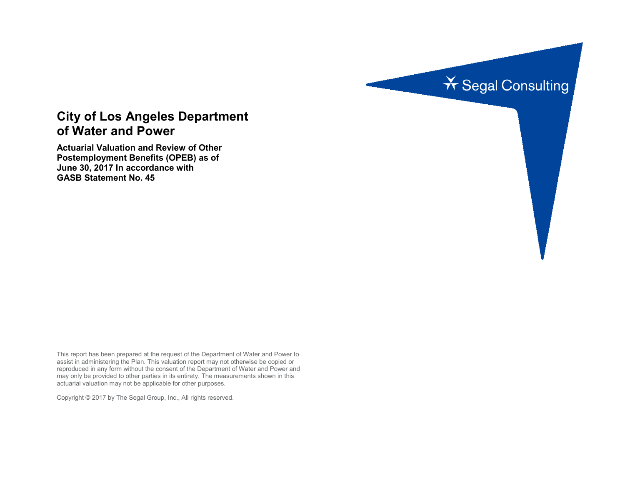

# **City of Los Angeles Department of Water and Power**

**Actuarial Valuation and Review of Other Postemployment Benefits (OPEB) as of June 30, 2017 In accordance with GASB Statement No. 45**

This report has been prepared at the request of the Department of Water and Power to assist in administering the Plan. This valuation report may not otherwise be copied or reproduced in any form without the consent of the Department of Water and Power and may only be provided to other parties in its entirety. The measurements shown in this actuarial valuation may not be applicable for other purposes.

Copyright © 2017 by The Segal Group, Inc., All rights reserved.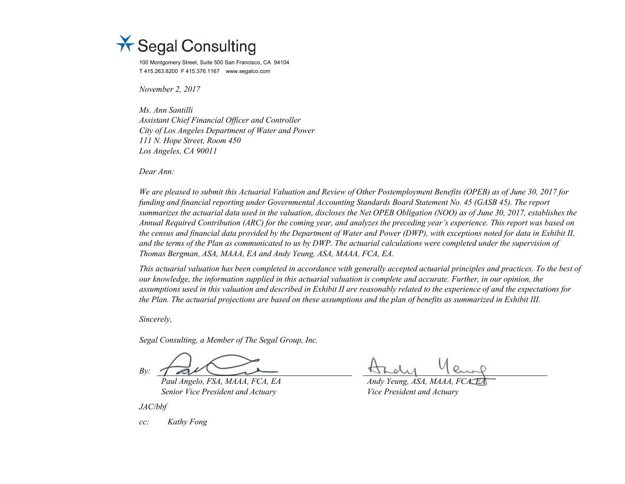

100 Montgomery Street, Suite 500 San Francisco, CA 94104 T 415.263.8200 F 415.376.1167 www.segalco.com

*November 2, 2017*

*Ms. Ann Santilli Assistant Chief Financial Officer and Controller City of Los Angeles Department of Water and Power 111 N. Hope Street, Room 450 Los Angeles, CA 90011*

*Dear Ann:*

*We are pleased to submit this Actuarial Valuation and Review of Other Postemployment Benefits (OPEB) as of June 30, 2017 for funding and financial reporting under Governmental Accounting Standards Board Statement No. 45 (GASB 45). The report summarizes the actuarial data used in the valuation, discloses the Net OPEB Obligation (NOO) as of June 30, 2017, establishes the Annual Required Contribution (ARC) for the coming year, and analyzes the preceding year's experience. This report was based on the census and financial data provided by the Department of Water and Power (DWP), with exceptions noted for data in Exhibit II, and the terms of the Plan as communicated to us by DWP. The actuarial calculations were completed under the supervision of Thomas Bergman, ASA, MAAA, EA and Andy Yeung, ASA, MAAA, FCA, EA.* 

*This actuarial valuation has been completed in accordance with generally accepted actuarial principles and practices. To the best of our knowledge, the information supplied in this actuarial valuation is complete and accurate. Further, in our opinion, the assumptions used in this valuation and described in Exhibit II are reasonably related to the experience of and the expectations for the Plan. The actuarial projections are based on these assumptions and the plan of benefits as summarized in Exhibit III.*

*Sincerely,*

*Segal Consulting, a Member of The Segal Group, Inc.*

*By:*

*Paul Angelo, FSA, MAAA, FCA, EA Andy Yeung, ASA, MAAA, FCA, EA Senior Vice President and Actuary Vice President and Actuary* 

*JAC/bbf*

*cc: Kathy Fong*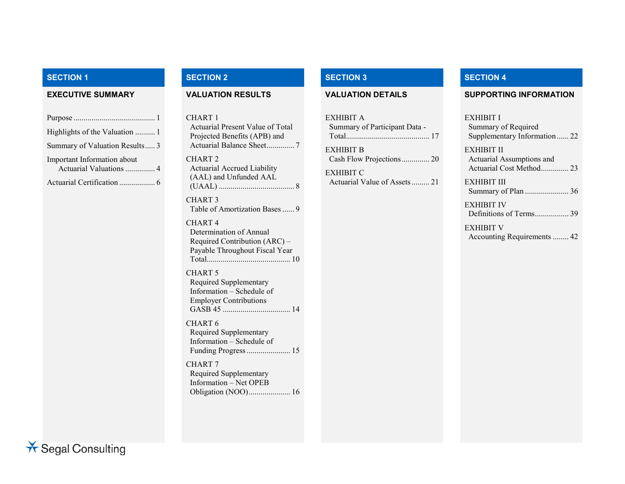| Highlights of the Valuation  1                         |
|--------------------------------------------------------|
| Summary of Valuation Results 3                         |
| Important Information about<br>Actuarial Valuations  4 |
|                                                        |

CHART 1 Actuarial Present Value of Total Projected Benefits (APB) and Actuarial Balance Sheet.............. 7 CHART 2 Actuarial Accrued Liability (AAL) and Unfunded AAL (UAAL) ...................................... 8

CHART 3 Table of Amortization Bases...... 9

#### CHART 4

Determination of Annual Required Contribution (ARC) – Payable Throughout Fiscal Year Total.......................................... 10

#### CHART 5

Required Supplementary Information – Schedule of Employer Contributions GASB 45 .................................. 14

CHART 6 Required Supplementary Information – Schedule of Funding Progress...................... 15

CHART 7 Required Supplementary Information – Net OPEB Obligation (NOO)..................... 16

| EXHIBIT A<br>Summary of Participant Data - |  |
|--------------------------------------------|--|
| <b>EXHIBIT B</b>                           |  |
| <b>EXHIBIT C</b>                           |  |

# **SECTION 1 SECTION 2 SECTION 3 SECTION 4**

#### **EXECUTIVE SUMMARY VALUATION RESULTS VALUATION DETAILS SUPPORTING INFORMATION**

#### EXHIBIT I

Summary of Required Supplementary Information ...... 22

EXHIBIT II Actuarial Assumptions and Actuarial Cost Method.............. 23

EXHIBIT III Summary of Plan ...................... 36

EXHIBIT IV Definitions of Terms................. 39

EXHIBIT V Accounting Requirements ........ 42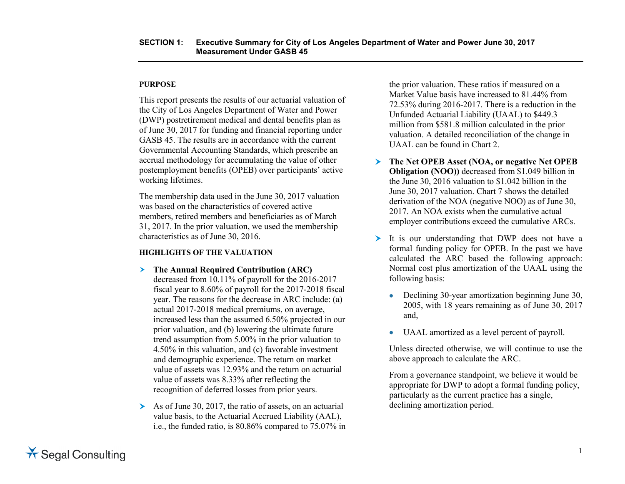#### **PURPOSE**

This report presents the results of our actuarial valuation of the City of Los Angeles Department of Water and Power (DWP) postretirement medical and dental benefits plan as of June 30, 2017 for funding and financial reporting under GASB 45. The results are in accordance with the current Governmental Accounting Standards, which prescribe an accrual methodology for accumulating the value of other postemployment benefits (OPEB) over participants' active working lifetimes.

The membership data used in the June 30, 2017 valuation was based on the characteristics of covered active members, retired members and beneficiaries as of March 31, 2017. In the prior valuation, we used the membership characteristics as of June 30, 2016.

#### **HIGHLIGHTS OF THE VALUATION**

- **The Annual Required Contribution (ARC)** decreased from 10.11% of payroll for the 2016-2017 fiscal year to 8.60% of payroll for the 2017-2018 fiscal year. The reasons for the decrease in ARC include: (a) actual 2017-2018 medical premiums, on average, increased less than the assumed 6.50% projected in our prior valuation, and (b) lowering the ultimate future trend assumption from 5.00% in the prior valuation to 4.50% in this valuation, and (c) favorable investment and demographic experience. The return on market value of assets was 12.93% and the return on actuarial value of assets was 8.33% after reflecting the recognition of deferred losses from prior years.
- As of June 30, 2017, the ratio of assets, on an actuarial value basis, to the Actuarial Accrued Liability (AAL), i.e., the funded ratio, is 80.86% compared to 75.07% in

the prior valuation. These ratios if measured on a Market Value basis have increased to 81.44% from 72.53% during 2016-2017. There is a reduction in the Unfunded Actuarial Liability (UAAL) to \$449.3 million from \$581.8 million calculated in the prior valuation. A detailed reconciliation of the change in UAAL can be found in Chart 2.

- **The Net OPEB Asset (NOA, or negative Net OPEB Obligation (NOO))** decreased from \$1.049 billion in the June 30, 2016 valuation to \$1.042 billion in the June 30, 2017 valuation. Chart 7 shows the detailed derivation of the NOA (negative NOO) as of June 30, 2017. An NOA exists when the cumulative actual employer contributions exceed the cumulative ARCs.
- It is our understanding that DWP does not have a formal funding policy for OPEB. In the past we have calculated the ARC based the following approach: Normal cost plus amortization of the UAAL using the following basis:
	- Declining 30-year amortization beginning June 30, 2005, with 18 years remaining as of June 30, 2017 and,
	- UAAL amortized as a level percent of payroll.

Unless directed otherwise, we will continue to use the above approach to calculate the ARC.

From a governance standpoint, we believe it would be appropriate for DWP to adopt a formal funding policy, particularly as the current practice has a single, declining amortization period.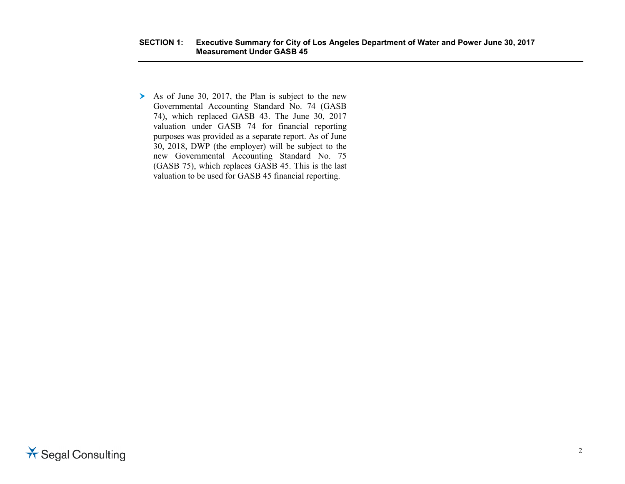$\triangleright$  As of June 30, 2017, the Plan is subject to the new Governmental Accounting Standard No. 74 (GASB 74), which replaced GASB 43. The June 30, 2017 valuation under GASB 74 for financial reporting purposes was provided as a separate report. As of June 30, 2018, DWP (the employer) will be subject to the new Governmental Accounting Standard No. 75 (GASB 75), which replaces GASB 45. This is the last valuation to be used for GASB 45 financial reporting.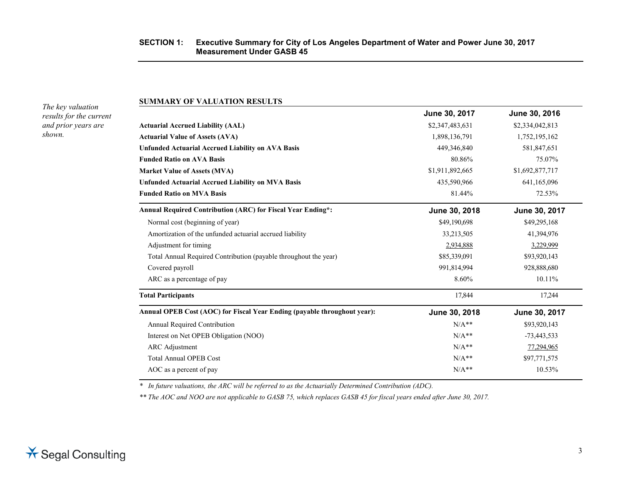#### **SECTION 1: Executive Summary for City of Los Angeles Department of Water and Power June 30, 2017 Measurement Under GASB 45**

*The key valuation results for the current and prior years are shown.*

#### **SUMMARY OF VALUATION RESULTS**

|                                                                          | June 30, 2017   | June 30, 2016   |
|--------------------------------------------------------------------------|-----------------|-----------------|
| <b>Actuarial Accrued Liability (AAL)</b>                                 | \$2,347,483,631 | \$2,334,042,813 |
| <b>Actuarial Value of Assets (AVA)</b>                                   | 1,898,136,791   | 1,752,195,162   |
| <b>Unfunded Actuarial Accrued Liability on AVA Basis</b>                 | 449,346,840     | 581,847,651     |
| <b>Funded Ratio on AVA Basis</b>                                         | 80.86%          | 75.07%          |
| <b>Market Value of Assets (MVA)</b>                                      | \$1,911,892,665 | \$1,692,877,717 |
| <b>Unfunded Actuarial Accrued Liability on MVA Basis</b>                 | 435,590,966     | 641,165,096     |
| <b>Funded Ratio on MVA Basis</b>                                         | 81.44%          | 72.53%          |
| Annual Required Contribution (ARC) for Fiscal Year Ending*:              | June 30, 2018   | June 30, 2017   |
| Normal cost (beginning of year)                                          | \$49,190,698    | \$49,295,168    |
| Amortization of the unfunded actuarial accrued liability                 | 33,213,505      | 41,394,976      |
| Adjustment for timing                                                    | 2,934,888       | 3,229,999       |
| Total Annual Required Contribution (payable throughout the year)         | \$85,339,091    | \$93,920,143    |
| Covered payroll                                                          | 991,814,994     | 928,888,680     |
| ARC as a percentage of pay                                               | 8.60%           | 10.11%          |
| <b>Total Participants</b>                                                | 17,844          | 17,244          |
| Annual OPEB Cost (AOC) for Fiscal Year Ending (payable throughout year): | June 30, 2018   | June 30, 2017   |
| Annual Required Contribution                                             | $N/A**$         | \$93,920,143    |
| Interest on Net OPEB Obligation (NOO)                                    | $N/A**$         | $-73,443,533$   |
| <b>ARC</b> Adjustment                                                    | $N/A**$         | 77,294,965      |
| <b>Total Annual OPEB Cost</b>                                            | $N/A**$         | \$97,771,575    |
| AOC as a percent of pay                                                  | $N/A**$         | 10.53%          |
|                                                                          |                 |                 |

*\* In future valuations, the ARC will be referred to as the Actuarially Determined Contribution (ADC).*

*\*\* The AOC and NOO are not applicable to GASB 75, which replaces GASB 45 for fiscal years ended after June 30, 2017.*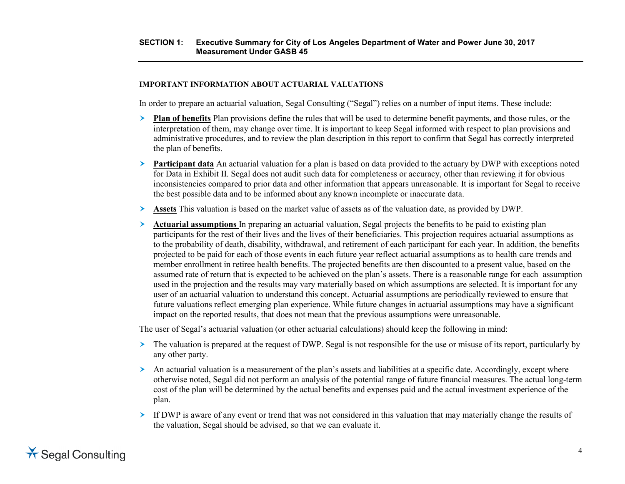#### **SECTION 1: Executive Summary for City of Los Angeles Department of Water and Power June 30, 2017 Measurement Under GASB 45**

#### **IMPORTANT INFORMATION ABOUT ACTUARIAL VALUATIONS**

In order to prepare an actuarial valuation, Segal Consulting ("Segal") relies on a number of input items. These include:

- **Plan of benefits** Plan provisions define the rules that will be used to determine benefit payments, and those rules, or the interpretation of them, may change over time. It is important to keep Segal informed with respect to plan provisions and administrative procedures, and to review the plan description in this report to confirm that Segal has correctly interpreted the plan of benefits.
- **Participant data** An actuarial valuation for a plan is based on data provided to the actuary by DWP with exceptions noted for Data in Exhibit II. Segal does not audit such data for completeness or accuracy, other than reviewing it for obvious inconsistencies compared to prior data and other information that appears unreasonable. It is important for Segal to receive the best possible data and to be informed about any known incomplete or inaccurate data.
- **Assets** This valuation is based on the market value of assets as of the valuation date, as provided by DWP.
- **Actuarial assumptions** In preparing an actuarial valuation, Segal projects the benefits to be paid to existing plan participants for the rest of their lives and the lives of their beneficiaries. This projection requires actuarial assumptions as to the probability of death, disability, withdrawal, and retirement of each participant for each year. In addition, the benefits projected to be paid for each of those events in each future year reflect actuarial assumptions as to health care trends and member enrollment in retiree health benefits. The projected benefits are then discounted to a present value, based on the assumed rate of return that is expected to be achieved on the plan's assets. There is a reasonable range for each assumption used in the projection and the results may vary materially based on which assumptions are selected. It is important for any user of an actuarial valuation to understand this concept. Actuarial assumptions are periodically reviewed to ensure that future valuations reflect emerging plan experience. While future changes in actuarial assumptions may have a significant impact on the reported results, that does not mean that the previous assumptions were unreasonable.

The user of Segal's actuarial valuation (or other actuarial calculations) should keep the following in mind:

- The valuation is prepared at the request of DWP. Segal is not responsible for the use or misuse of its report, particularly by any other party.
- $\triangleright$  An actuarial valuation is a measurement of the plan's assets and liabilities at a specific date. Accordingly, except where otherwise noted, Segal did not perform an analysis of the potential range of future financial measures. The actual long-term cost of the plan will be determined by the actual benefits and expenses paid and the actual investment experience of the plan.
- If DWP is aware of any event or trend that was not considered in this valuation that may materially change the results of the valuation, Segal should be advised, so that we can evaluate it.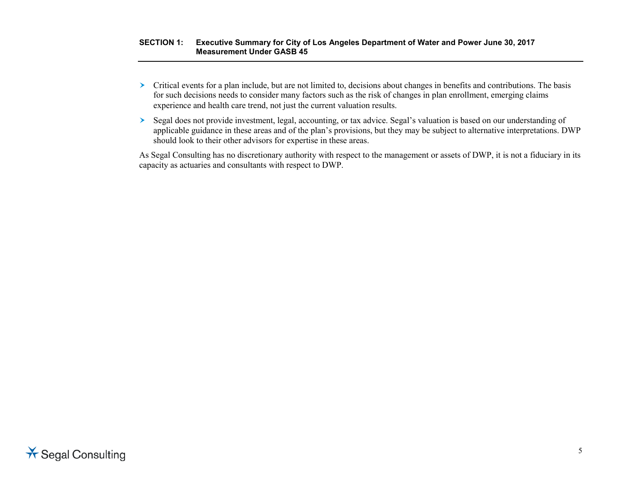#### **SECTION 1: Executive Summary for City of Los Angeles Department of Water and Power June 30, 2017 Measurement Under GASB 45**

- $\triangleright$  Critical events for a plan include, but are not limited to, decisions about changes in benefits and contributions. The basis for such decisions needs to consider many factors such as the risk of changes in plan enrollment, emerging claims experience and health care trend, not just the current valuation results.
- Segal does not provide investment, legal, accounting, or tax advice. Segal's valuation is based on our understanding of applicable guidance in these areas and of the plan's provisions, but they may be subject to alternative interpretations. DWP should look to their other advisors for expertise in these areas.

As Segal Consulting has no discretionary authority with respect to the management or assets of DWP, it is not a fiduciary in its capacity as actuaries and consultants with respect to DWP.

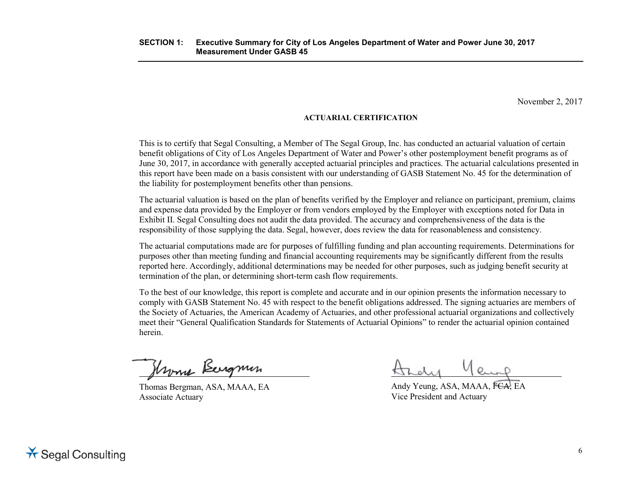November 2, 2017

### **ACTUARIAL CERTIFICATION**

This is to certify that Segal Consulting, a Member of The Segal Group, Inc. has conducted an actuarial valuation of certain benefit obligations of City of Los Angeles Department of Water and Power's other postemployment benefit programs as of June 30, 2017, in accordance with generally accepted actuarial principles and practices. The actuarial calculations presented in this report have been made on a basis consistent with our understanding of GASB Statement No. 45 for the determination of the liability for postemployment benefits other than pensions.

The actuarial valuation is based on the plan of benefits verified by the Employer and reliance on participant, premium, claims and expense data provided by the Employer or from vendors employed by the Employer with exceptions noted for Data in Exhibit II. Segal Consulting does not audit the data provided. The accuracy and comprehensiveness of the data is the responsibility of those supplying the data. Segal, however, does review the data for reasonableness and consistency.

The actuarial computations made are for purposes of fulfilling funding and plan accounting requirements. Determinations for purposes other than meeting funding and financial accounting requirements may be significantly different from the results reported here. Accordingly, additional determinations may be needed for other purposes, such as judging benefit security at termination of the plan, or determining short-term cash flow requirements.

To the best of our knowledge, this report is complete and accurate and in our opinion presents the information necessary to comply with GASB Statement No. 45 with respect to the benefit obligations addressed. The signing actuaries are members of the Society of Actuaries, the American Academy of Actuaries, and other professional actuarial organizations and collectively meet their "General Qualification Standards for Statements of Actuarial Opinions" to render the actuarial opinion contained herein.

Hroma Bergmin

Thomas Bergman, ASA, MAAA, EA Associate Actuary

Andy Yeung, ASA, MAAA, FCA, EA Vice President and Actuary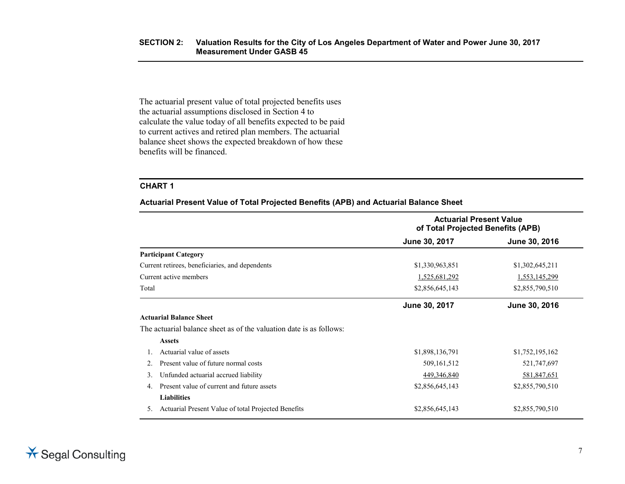The actuarial present value of total projected benefits uses the actuarial assumptions disclosed in Section 4 to calculate the value today of all benefits expected to be paid to current actives and retired plan members. The actuarial balance sheet shows the expected breakdown of how these benefits will be financed.

#### **CHART 1**

**Actuarial Present Value of Total Projected Benefits (APB) and Actuarial Balance Sheet**

|       |                                                                     | <b>Actuarial Present Value</b><br>of Total Projected Benefits (APB) |                 |
|-------|---------------------------------------------------------------------|---------------------------------------------------------------------|-----------------|
|       |                                                                     | June 30, 2017                                                       | June 30, 2016   |
|       | <b>Participant Category</b>                                         |                                                                     |                 |
|       | Current retirees, beneficiaries, and dependents                     | \$1,330,963,851                                                     | \$1,302,645,211 |
|       | Current active members                                              | 1,525,681,292                                                       | 1,553,145,299   |
| Total |                                                                     | \$2,856,645,143                                                     | \$2,855,790,510 |
|       |                                                                     | June 30, 2017                                                       | June 30, 2016   |
|       | <b>Actuarial Balance Sheet</b>                                      |                                                                     |                 |
|       | The actuarial balance sheet as of the valuation date is as follows: |                                                                     |                 |
|       | <b>Assets</b>                                                       |                                                                     |                 |
|       | Actuarial value of assets                                           | \$1,898,136,791                                                     | \$1,752,195,162 |
|       | Present value of future normal costs                                | 509, 161, 512                                                       | 521,747,697     |
| 3.    | Unfunded actuarial accrued liability                                | 449,346,840                                                         | 581,847,651     |
| 4.    | Present value of current and future assets                          | \$2,856,645,143                                                     | \$2,855,790,510 |
|       | <b>Liabilities</b>                                                  |                                                                     |                 |
| 5.    | Actuarial Present Value of total Projected Benefits                 | \$2,856,645,143                                                     | \$2,855,790,510 |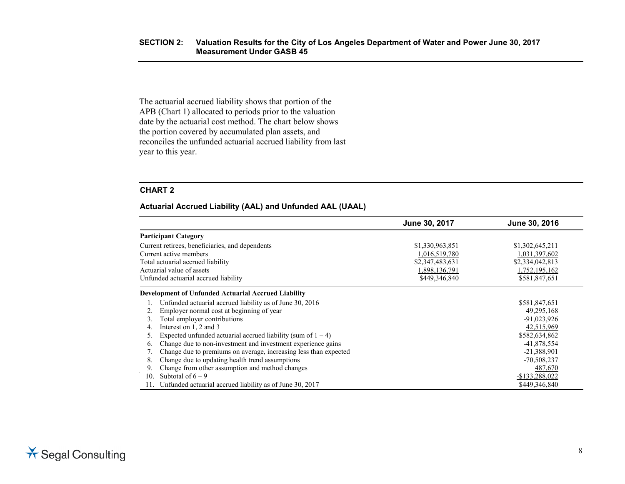The actuarial accrued liability shows that portion of the APB (Chart 1) allocated to periods prior to the valuation date by the actuarial cost method. The chart below shows the portion covered by accumulated plan assets, and reconciles the unfunded actuarial accrued liability from last year to this year.

#### **CHART 2**

#### **Actuarial Accrued Liability (AAL) and Unfunded AAL (UAAL)**

|                                                                    | June 30, 2017   | June 30, 2016   |
|--------------------------------------------------------------------|-----------------|-----------------|
| <b>Participant Category</b>                                        |                 |                 |
| Current retirees, beneficiaries, and dependents                    | \$1,330,963,851 | \$1,302,645,211 |
| Current active members                                             | 1,016,519,780   | 1,031,397,602   |
| Total actuarial accrued liability                                  | \$2,347,483,631 | \$2,334,042,813 |
| Actuarial value of assets                                          | 1,898,136,791   | 1,752,195,162   |
| Unfunded actuarial accrued liability                               | \$449,346,840   | \$581,847,651   |
| <b>Development of Unfunded Actuarial Accrued Liability</b>         |                 |                 |
| Unfunded actuarial accrued liability as of June 30, 2016           |                 | \$581,847,651   |
| Employer normal cost at beginning of year                          |                 | 49,295,168      |
| Total employer contributions                                       |                 | $-91,023,926$   |
| Interest on 1, 2 and 3<br>4.                                       |                 | 42,515,969      |
| Expected unfunded actuarial accrued liability (sum of $1 - 4$ )    |                 | \$582,634,862   |
| Change due to non-investment and investment experience gains<br>6. |                 | -41,878,554     |
| Change due to premiums on average, increasing less than expected   |                 | $-21,388,901$   |
| Change due to updating health trend assumptions<br>8.              |                 | -70,508,237     |
| Change from other assumption and method changes<br>9.              |                 | 487,670         |
| Subtotal of $6 - 9$<br>10.                                         |                 | $-$133,288,022$ |
| Unfunded actuarial accrued liability as of June 30, 2017           |                 | \$449,346,840   |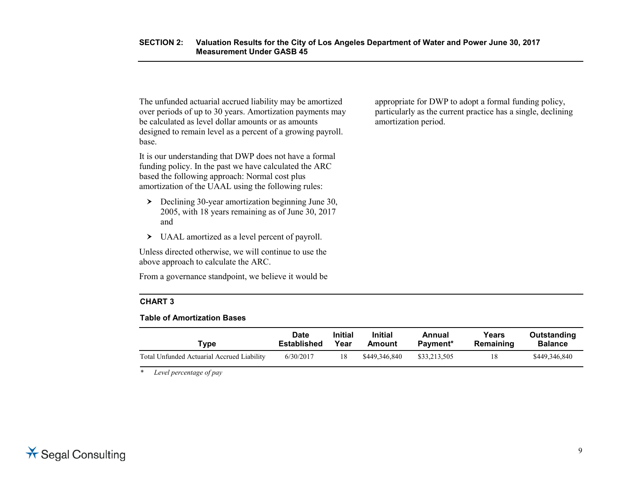The unfunded actuarial accrued liability may be amortized over periods of up to 30 years. Amortization payments may be calculated as level dollar amounts or as amounts designed to remain level as a percent of a growing payroll. base.

It is our understanding that DWP does not have a formal funding policy. In the past we have calculated the ARC based the following approach: Normal cost plus amortization of the UAAL using the following rules:

- $\geq$  Declining 30-year amortization beginning June 30, 2005, with 18 years remaining as of June 30, 2017 and
- UAAL amortized as a level percent of payroll.

Unless directed otherwise, we will continue to use the above approach to calculate the ARC.

From a governance standpoint, we believe it would be

#### **CHART 3**

#### **Table of Amortization Bases**

| Type                                       | <b>Date</b> | <b>Initial</b> | <b>Initial</b> | Annual       | Years     | Outstanding   |
|--------------------------------------------|-------------|----------------|----------------|--------------|-----------|---------------|
|                                            | Established | Year           | Amount         | Payment*     | Remaining | Balance       |
| Total Unfunded Actuarial Accrued Liability | 6/30/2017   | 18             | \$449,346,840  | \$33,213,505 | 18        | \$449,346,840 |

*\* Level percentage of pay*

appropriate for DWP to adopt a formal funding policy, particularly as the current practice has a single, declining amortization period.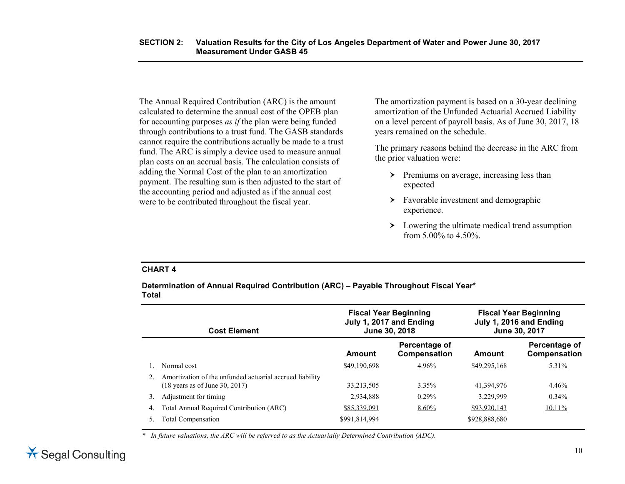The Annual Required Contribution (ARC) is the amount calculated to determine the annual cost of the OPEB plan for accounting purposes *as if* the plan were being funded through contributions to a trust fund. The GASB standards cannot require the contributions actually be made to a trust fund. The ARC is simply a device used to measure annual plan costs on an accrual basis. The calculation consists of adding the Normal Cost of the plan to an amortization payment. The resulting sum is then adjusted to the start of the accounting period and adjusted as if the annual cost were to be contributed throughout the fiscal year.

The amortization payment is based on a 30-year declining amortization of the Unfunded Actuarial Accrued Liability on a level percent of payroll basis. As of June 30, 2017, 18 years remained on the schedule.

The primary reasons behind the decrease in the ARC from the prior valuation were:

- $\triangleright$  Premiums on average, increasing less than expected
- > Favorable investment and demographic experience.
- $\sum$  Lowering the ultimate medical trend assumption from 5.00% to 4.50%.

#### **CHART 4**

**Determination of Annual Required Contribution (ARC) – Payable Throughout Fiscal Year\* Total**

|    | <b>Cost Element</b>                                                                                   | <b>Fiscal Year Beginning</b><br>July 1, 2017 and Ending<br>June 30, 2018 |                               |               | <b>Fiscal Year Beginning</b><br>July 1, 2016 and Ending<br>June 30, 2017 |
|----|-------------------------------------------------------------------------------------------------------|--------------------------------------------------------------------------|-------------------------------|---------------|--------------------------------------------------------------------------|
|    |                                                                                                       | Amount                                                                   | Percentage of<br>Compensation | Amount        | Percentage of<br>Compensation                                            |
|    | Normal cost                                                                                           | \$49,190,698                                                             | 4.96%                         | \$49,295,168  | 5.31%                                                                    |
|    | Amortization of the unfunded actuarial accrued liability<br>$(18 \text{ years as of June } 30, 2017)$ | 33,213,505                                                               | $3.35\%$                      | 41,394,976    | 4.46%                                                                    |
| 3. | Adjustment for timing                                                                                 | 2,934,888                                                                | $0.29\%$                      | 3,229,999     | 0.34%                                                                    |
| 4. | Total Annual Required Contribution (ARC)                                                              | \$85,339,091                                                             | $8.60\%$                      | \$93,920,143  | 10.11%                                                                   |
|    | Total Compensation                                                                                    | \$991,814,994                                                            |                               | \$928,888,680 |                                                                          |

*\* In future valuations, the ARC will be referred to as the Actuarially Determined Contribution (ADC).*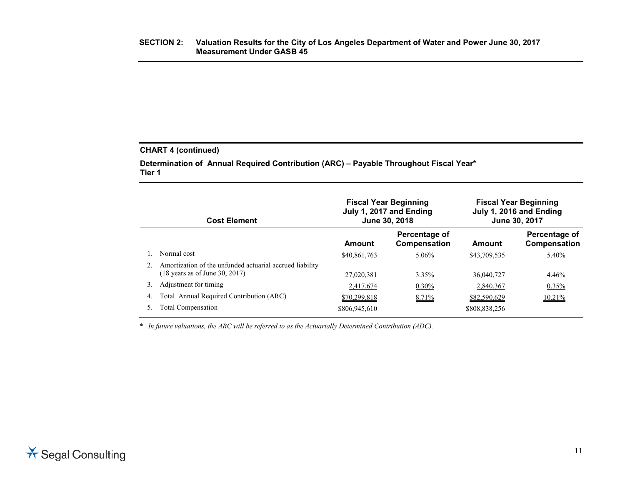### **CHART 4 (continued)**

**Determination of Annual Required Contribution (ARC) – Payable Throughout Fiscal Year\* Tier 1**

|    | <b>Cost Element</b>                                                                                   | <b>Fiscal Year Beginning</b><br>July 1, 2017 and Ending<br>June 30, 2018 |                               |               | <b>Fiscal Year Beginning</b><br>July 1, 2016 and Ending<br>June 30, 2017 |
|----|-------------------------------------------------------------------------------------------------------|--------------------------------------------------------------------------|-------------------------------|---------------|--------------------------------------------------------------------------|
|    |                                                                                                       | Amount                                                                   | Percentage of<br>Compensation | Amount        | Percentage of<br>Compensation                                            |
|    | Normal cost                                                                                           | \$40,861,763                                                             | 5.06%                         | \$43,709,535  | 5.40%                                                                    |
|    | Amortization of the unfunded actuarial accrued liability<br>$(18 \text{ years as of June } 30, 2017)$ | 27,020,381                                                               | 3.35%                         | 36,040,727    | 4.46%                                                                    |
| 3. | Adjustment for timing                                                                                 | 2,417,674                                                                | $0.30\%$                      | 2,840,367     | $0.35\%$                                                                 |
| 4. | Total Annual Required Contribution (ARC)                                                              | \$70,299,818                                                             | 8.71%                         | \$82,590,629  | 10.21%                                                                   |
|    | <b>Total Compensation</b>                                                                             | \$806,945,610                                                            |                               | \$808,838,256 |                                                                          |

*\* In future valuations, the ARC will be referred to as the Actuarially Determined Contribution (ADC).*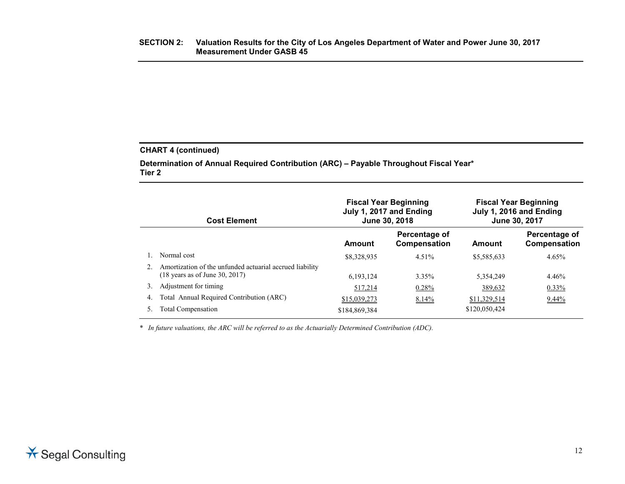### **CHART 4 (continued)**

**Determination of Annual Required Contribution (ARC) – Payable Throughout Fiscal Year\* Tier 2**

|    | <b>Cost Element</b>                                      | <b>Fiscal Year Beginning</b><br>July 1, 2017 and Ending<br>June 30, 2018 |                               |               | <b>Fiscal Year Beginning</b><br>July 1, 2016 and Ending<br>June 30, 2017 |
|----|----------------------------------------------------------|--------------------------------------------------------------------------|-------------------------------|---------------|--------------------------------------------------------------------------|
|    |                                                          | Amount                                                                   | Percentage of<br>Compensation | Amount        | Percentage of<br>Compensation                                            |
|    | Normal cost                                              | \$8,328,935                                                              | $4.51\%$                      | \$5,585,633   | 4.65%                                                                    |
|    | Amortization of the unfunded actuarial accrued liability |                                                                          |                               |               |                                                                          |
|    | $(18 \text{ years as of June } 30, 2017)$                | 6.193.124                                                                | 3.35%                         | 5,354,249     | 4.46%                                                                    |
| 3. | Adjustment for timing                                    | 517,214                                                                  | $0.28\%$                      | 389,632       | $0.33\%$                                                                 |
| 4. | Total Annual Required Contribution (ARC)                 | \$15,039,273                                                             | 8.14%                         | \$11,329,514  | $9.44\%$                                                                 |
| 5. | Total Compensation                                       | \$184,869,384                                                            |                               | \$120,050,424 |                                                                          |

*\* In future valuations, the ARC will be referred to as the Actuarially Determined Contribution (ADC).*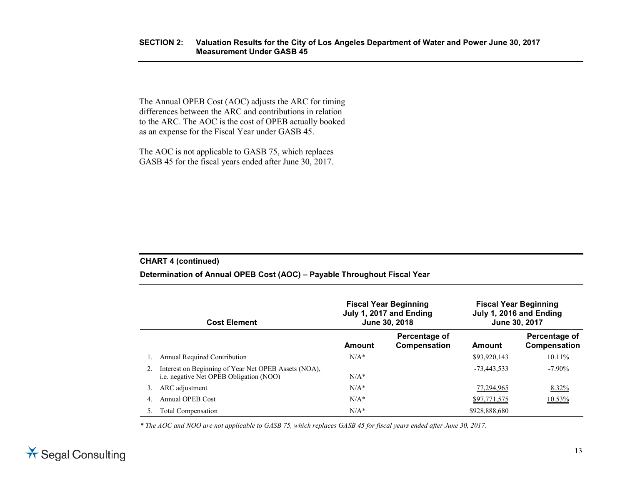The Annual OPEB Cost (AOC) adjusts the ARC for timing differences between the ARC and contributions in relation to the ARC. The AOC is the cost of OPEB actually booked as an expense for the Fiscal Year under GASB 45.

The AOC is not applicable to GASB 75, which replaces GASB 45 for the fiscal years ended after June 30, 2017.

#### **CHART 4 (continued)**

#### **Determination of Annual OPEB Cost (AOC) – Payable Throughout Fiscal Year**

|    | <b>Cost Element</b>                                                                                    | <b>Fiscal Year Beginning</b><br>July 1, 2017 and Ending<br>June 30, 2018 |                               |               | <b>Fiscal Year Beginning</b><br>July 1, 2016 and Ending<br>June 30, 2017 |
|----|--------------------------------------------------------------------------------------------------------|--------------------------------------------------------------------------|-------------------------------|---------------|--------------------------------------------------------------------------|
|    |                                                                                                        | Amount                                                                   | Percentage of<br>Compensation | Amount        | Percentage of<br>Compensation                                            |
|    | <b>Annual Required Contribution</b>                                                                    | $N/A^*$                                                                  |                               | \$93,920,143  | $10.11\%$                                                                |
|    | Interest on Beginning of Year Net OPEB Assets (NOA),<br><i>i.e.</i> negative Net OPEB Obligation (NOO) | $N/A*$                                                                   |                               | $-73,443,533$ | $-7.90\%$                                                                |
| 3. | ARC adjustment                                                                                         | $N/A^*$                                                                  |                               | 77,294,965    | 8.32%                                                                    |
| 4. | Annual OPEB Cost                                                                                       | $N/A^*$                                                                  |                               | \$97,771,575  | $10.53\%$                                                                |
|    | <b>Total Compensation</b>                                                                              | $N/A^*$                                                                  |                               | \$928,888,680 |                                                                          |

*\* The AOC and NOO are not applicable to GASB 75, which replaces GASB 45 for fiscal years ended after June 30, 2017.*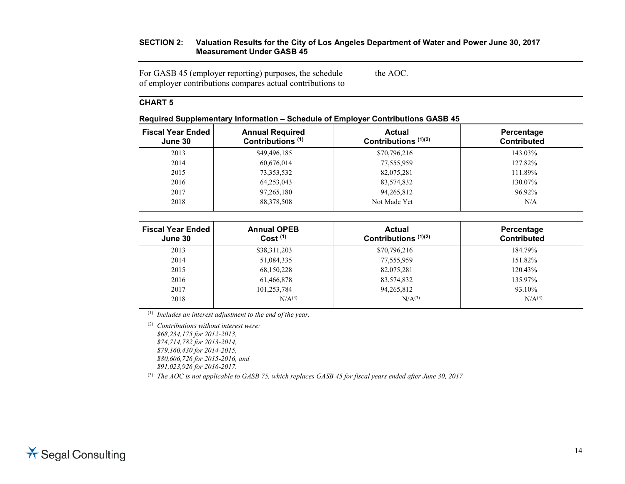#### **SECTION 2: Valuation Results for the City of Los Angeles Department of Water and Power June 30, 2017 Measurement Under GASB 45**

For GASB 45 (employer reporting) purposes, the schedule of employer contributions compares actual contributions to the AOC.

### **CHART 5**

| . .                                 |                                                        |                                         |                                  |
|-------------------------------------|--------------------------------------------------------|-----------------------------------------|----------------------------------|
| <b>Fiscal Year Ended</b><br>June 30 | <b>Annual Required</b><br>Contributions <sup>(1)</sup> | <b>Actual</b><br>Contributions $(1)(2)$ | Percentage<br><b>Contributed</b> |
| 2013                                | \$49,496,185                                           | \$70,796,216                            | 143.03%                          |
| 2014                                | 60,676,014                                             | 77,555,959                              | 127.82%                          |
| 2015                                | 73,353,532                                             | 82,075,281                              | 111.89%                          |
| 2016                                | 64,253,043                                             | 83,574,832                              | 130.07%                          |
| 2017                                | 97, 265, 180                                           | 94, 265, 812                            | 96.92%                           |
| 2018                                | 88,378,508                                             | Not Made Yet                            | N/A                              |
|                                     |                                                        |                                         |                                  |

#### **Required Supplementary Information – Schedule of Employer Contributions GASB 45**

| <b>Fiscal Year Ended</b><br>June 30 | <b>Annual OPEB</b><br>Cost <sup>(1)</sup> | <b>Actual</b><br>Contributions (1)(2) | Percentage<br><b>Contributed</b> |
|-------------------------------------|-------------------------------------------|---------------------------------------|----------------------------------|
| 2013                                | \$38,311,203                              | \$70,796,216                          | 184.79%                          |
| 2014                                | 51,084,335                                | 77,555,959                            | 151.82%                          |
| 2015                                | 68,150,228                                | 82,075,281                            | 120.43%                          |
| 2016                                | 61,466,878                                | 83,574,832                            | 135.97%                          |
| 2017                                | 101,253,784                               | 94,265,812                            | 93.10%                           |
| 2018                                | N/A <sup>(3)</sup>                        | N/A <sup>(3)</sup>                    | N/A <sup>(3)</sup>               |

(1) *Includes an interest adjustment to the end of the year.*

(2) *Contributions without interest were: \$68,234,175 for 2012-2013, \$74,714,782 for 2013-2014, \$79,160,430 for 2014-2015, \$80,606,726 for 2015-2016, and \$91,023,926 for 2016-2017.*

(3) *The AOC is not applicable to GASB 75, which replaces GASB 45 for fiscal years ended after June 30, 2017*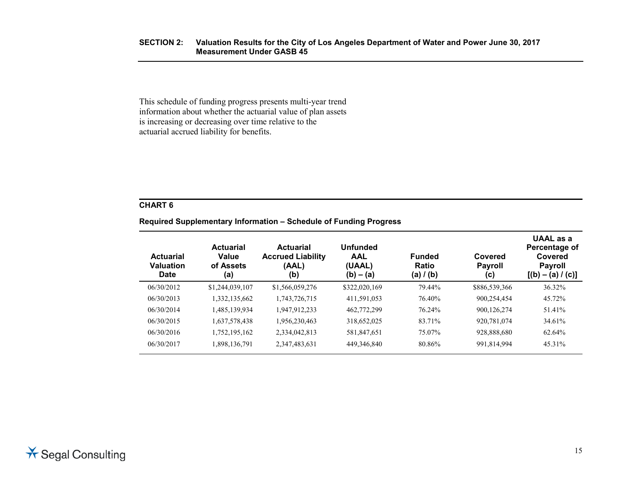This schedule of funding progress presents multi-year trend information about whether the actuarial value of plan assets is increasing or decreasing over time relative to the actuarial accrued liability for benefits.

### **CHART 6**

# **Required Supplementary Information – Schedule of Funding Progress**

| <b>Actuarial</b><br><b>Valuation</b><br><b>Date</b> | <b>Actuarial</b><br>Value<br>of Assets<br>(a) | <b>Actuarial</b><br><b>Accrued Liability</b><br>(AAL)<br>(b) | <b>Unfunded</b><br><b>AAL</b><br>(UAAL)<br>$(b) - (a)$ | <b>Funded</b><br><b>Ratio</b><br>(a) $/$ (b) | Covered<br><b>Payroll</b><br>(c) | UAAL as a<br>Percentage of<br>Covered<br><b>Payroll</b><br>$[(b) - (a) / (c)]$ |
|-----------------------------------------------------|-----------------------------------------------|--------------------------------------------------------------|--------------------------------------------------------|----------------------------------------------|----------------------------------|--------------------------------------------------------------------------------|
| 06/30/2012                                          | \$1,244,039,107                               | \$1,566,059,276                                              | \$322,020,169                                          | 79.44%                                       | \$886,539,366                    | 36.32%                                                                         |
| 06/30/2013                                          | 1,332,135,662                                 | 1,743,726,715                                                | 411,591,053                                            | 76.40%                                       | 900,254,454                      | 45.72%                                                                         |
| 06/30/2014                                          | 1,485,139,934                                 | 1,947,912,233                                                | 462,772,299                                            | 76.24%                                       | 900,126,274                      | 51.41%                                                                         |
| 06/30/2015                                          | 1,637,578,438                                 | 1,956,230,463                                                | 318,652,025                                            | 83.71%                                       | 920,781,074                      | 34.61%                                                                         |
| 06/30/2016                                          | 1,752,195,162                                 | 2,334,042,813                                                | 581,847,651                                            | 75.07%                                       | 928,888,680                      | 62.64%                                                                         |
| 06/30/2017                                          | 1,898,136,791                                 | 2,347,483,631                                                | 449,346,840                                            | 80.86%                                       | 991,814,994                      | 45.31%                                                                         |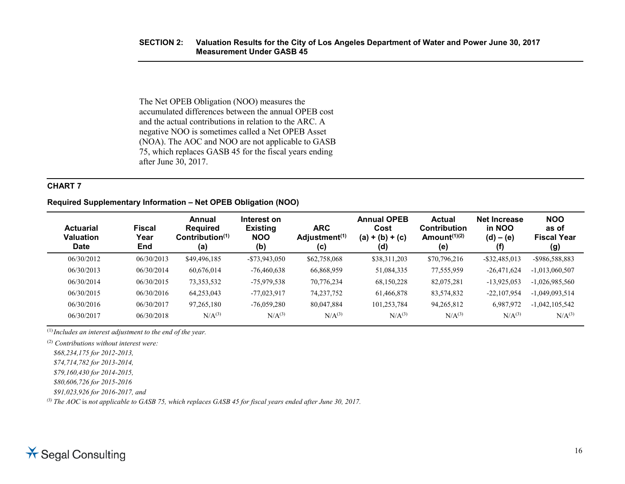#### **SECTION 2: Valuation Results for the City of Los Angeles Department of Water and Power June 30, 2017 Measurement Under GASB 45**

The Net OPEB Obligation (NOO) measures the accumulated differences between the annual OPEB cost and the actual contributions in relation to the ARC. A negative NOO is sometimes called a Net OPEB Asset (NOA). The AOC and NOO are not applicable to GASB 75, which replaces GASB 45 for the fiscal years ending after June 30, 2017.

#### **CHART 7**

#### **Required Supplementary Information – Net OPEB Obligation (NOO)**

| <b>Actuarial</b><br><b>Valuation</b><br><b>Date</b> | <b>Fiscal</b><br>Year<br>End | Annual<br><b>Required</b><br>Contribution $(1)$<br>(a) | Interest on<br><b>Existing</b><br><b>NOO</b><br>(b) | <b>ARC</b><br>Adjustment <sup>(1)</sup><br>(c) | <b>Annual OPEB</b><br>Cost<br>$(a) + (b) + (c)$<br>(d) | <b>Actual</b><br><b>Contribution</b><br>Amount <sup><math>(1)(2)</math></sup><br>(e) | <b>Net Increase</b><br>in NOO<br>$(d) - (e)$<br>(f) | <b>NOO</b><br>as of<br><b>Fiscal Year</b><br>(g) |
|-----------------------------------------------------|------------------------------|--------------------------------------------------------|-----------------------------------------------------|------------------------------------------------|--------------------------------------------------------|--------------------------------------------------------------------------------------|-----------------------------------------------------|--------------------------------------------------|
| 06/30/2012                                          | 06/30/2013                   | \$49,496,185                                           | $-$ \$73,943,050                                    | \$62,758,068                                   | \$38,311,203                                           | \$70,796,216                                                                         | $-$ \$32,485,013                                    | -\$986,588,883                                   |
| 06/30/2013                                          | 06/30/2014                   | 60,676,014                                             | $-76,460,638$                                       | 66,868,959                                     | 51,084,335                                             | 77,555,959                                                                           | $-26,471,624$                                       | $-1,013,060,507$                                 |
| 06/30/2014                                          | 06/30/2015                   | 73, 353, 532                                           | $-75,979,538$                                       | 70,776,234                                     | 68,150,228                                             | 82,075,281                                                                           | $-13,925,053$                                       | $-1,026,985,560$                                 |
| 06/30/2015                                          | 06/30/2016                   | 64,253,043                                             | $-77,023,917$                                       | 74, 237, 752                                   | 61,466,878                                             | 83,574,832                                                                           | $-22,107,954$                                       | $-1,049,093,514$                                 |
| 06/30/2016                                          | 06/30/2017                   | 97,265,180                                             | $-76,059,280$                                       | 80,047,884                                     | 101,253,784                                            | 94,265,812                                                                           | 6,987,972                                           | $-1,042,105,542$                                 |
| 06/30/2017                                          | 06/30/2018                   | N/A <sup>(3)</sup>                                     | N/A <sup>(3)</sup>                                  | N/A <sup>(3)</sup>                             | N/A <sup>(3)</sup>                                     | $N/A^{(3)}$                                                                          | N/A <sup>(3)</sup>                                  | $N/A^{(3)}$                                      |

(1) *Includes an interest adjustment to the end of the year.*

(2) *Contributions without interest were:*

*\$68,234,175 for 2012-2013,* 

*\$74,714,782 for 2013-2014,* 

*\$79,160,430 for 2014-2015,*

*\$80,606,726 for 2015-2016*

*\$91,023,926 for 2016-2017, and*

*(3) The AOC* is *not applicable to GASB 75, which replaces GASB 45 for fiscal years ended after June 30, 2017.*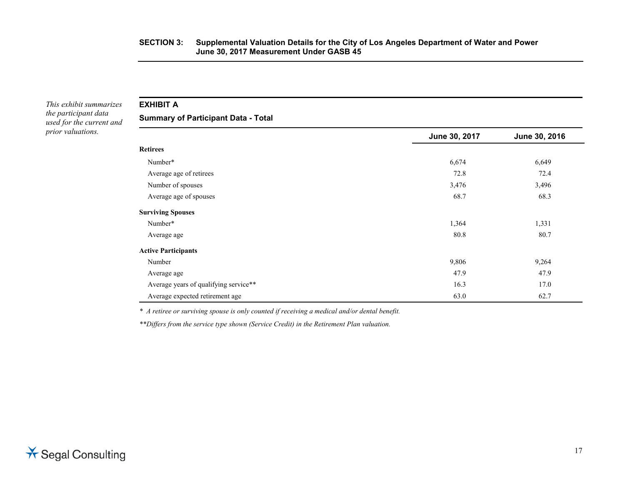*This exhibit summarizes the participant data used for the current and prior valuations.*

**EXHIBIT A**

**Summary of Participant Data - Total**

|                                       | June 30, 2017 | June 30, 2016 |
|---------------------------------------|---------------|---------------|
| <b>Retirees</b>                       |               |               |
| Number*                               | 6,674         | 6,649         |
| Average age of retirees               | 72.8          | 72.4          |
| Number of spouses                     | 3,476         | 3,496         |
| Average age of spouses                | 68.7          | 68.3          |
| <b>Surviving Spouses</b>              |               |               |
| Number*                               | 1,364         | 1,331         |
| Average age                           | 80.8          | 80.7          |
| <b>Active Participants</b>            |               |               |
| Number                                | 9,806         | 9,264         |
| Average age                           | 47.9          | 47.9          |
| Average years of qualifying service** | 16.3          | 17.0          |
| Average expected retirement age       | 63.0          | 62.7          |

*\* A retiree or surviving spouse is only counted if receiving a medical and/or dental benefit.*

*\*\*Differs from the service type shown (Service Credit) in the Retirement Plan valuation.*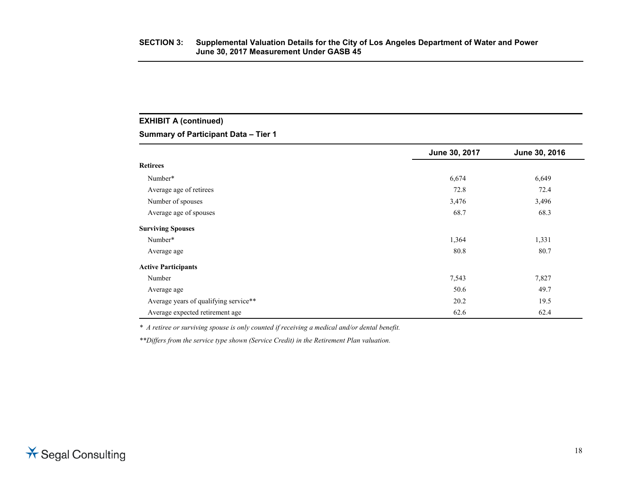# **EXHIBIT A (continued)**

**Summary of Participant Data – Tier 1**

|                                       | June 30, 2017 | June 30, 2016 |
|---------------------------------------|---------------|---------------|
| <b>Retirees</b>                       |               |               |
| Number*                               | 6,674         | 6,649         |
| Average age of retirees               | 72.8          | 72.4          |
| Number of spouses                     | 3,476         | 3,496         |
| Average age of spouses                | 68.7          | 68.3          |
| <b>Surviving Spouses</b>              |               |               |
| Number*                               | 1,364         | 1,331         |
| Average age                           | 80.8          | 80.7          |
| <b>Active Participants</b>            |               |               |
| Number                                | 7,543         | 7,827         |
| Average age                           | 50.6          | 49.7          |
| Average years of qualifying service** | 20.2          | 19.5          |
| Average expected retirement age       | 62.6          | 62.4          |

*\* A retiree or surviving spouse is only counted if receiving a medical and/or dental benefit.*

*\*\*Differs from the service type shown (Service Credit) in the Retirement Plan valuation.*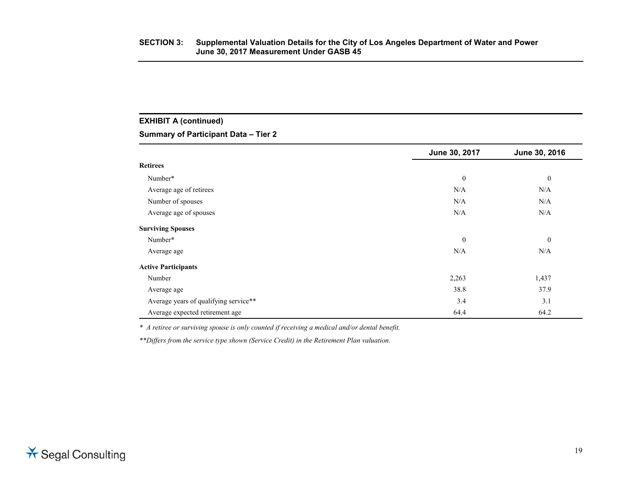# **EXHIBIT A (continued)**

#### **Summary of Participant Data – Tier 2**

|                                       | June 30, 2017    | June 30, 2016    |
|---------------------------------------|------------------|------------------|
| <b>Retirees</b>                       |                  |                  |
| Number*                               | $\boldsymbol{0}$ | $\boldsymbol{0}$ |
| Average age of retirees               | N/A              | N/A              |
| Number of spouses                     | N/A              | N/A              |
| Average age of spouses                | N/A              | N/A              |
| <b>Surviving Spouses</b>              |                  |                  |
| Number*                               | $\boldsymbol{0}$ | $\theta$         |
| Average age                           | N/A              | N/A              |
| <b>Active Participants</b>            |                  |                  |
| Number                                | 2,263            | 1,437            |
| Average age                           | 38.8             | 37.9             |
| Average years of qualifying service** | 3.4              | 3.1              |
| Average expected retirement age       | 64.4             | 64.2             |

*\* A retiree or surviving spouse is only counted if receiving a medical and/or dental benefit.*

*\*\*Differs from the service type shown (Service Credit) in the Retirement Plan valuation.*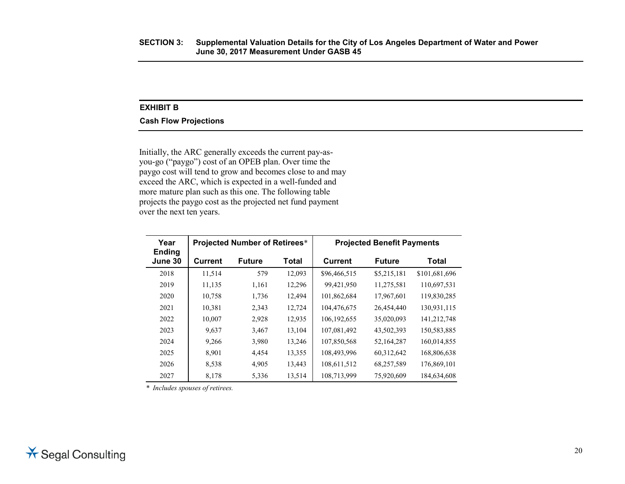#### **EXHIBIT B**

#### **Cash Flow Projections**

Initially, the ARC generally exceeds the current pay-asyou-go ("paygo") cost of an OPEB plan. Over time the paygo cost will tend to grow and becomes close to and may exceed the ARC, which is expected in a well-funded and more mature plan such as this one. The following table projects the paygo cost as the projected net fund payment over the next ten years.

| Year                     | <b>Projected Number of Retirees*</b> |               |        | <b>Projected Benefit Payments</b> |               |               |
|--------------------------|--------------------------------------|---------------|--------|-----------------------------------|---------------|---------------|
| <b>Ending</b><br>June 30 | <b>Current</b>                       | <b>Future</b> | Total  | <b>Current</b>                    | <b>Future</b> | Total         |
| 2018                     | 11,514                               | 579           | 12,093 | \$96,466,515                      | \$5,215,181   | \$101,681,696 |
| 2019                     | 11,135                               | 1,161         | 12,296 | 99,421,950                        | 11,275,581    | 110,697,531   |
| 2020                     | 10,758                               | 1,736         | 12,494 | 101,862,684                       | 17,967,601    | 119,830,285   |
| 2021                     | 10,381                               | 2,343         | 12,724 | 104,476,675                       | 26,454,440    | 130,931,115   |
| 2022                     | 10,007                               | 2,928         | 12,935 | 106, 192, 655                     | 35,020,093    | 141,212,748   |
| 2023                     | 9.637                                | 3,467         | 13,104 | 107,081,492                       | 43,502,393    | 150,583,885   |
| 2024                     | 9,266                                | 3,980         | 13,246 | 107,850,568                       | 52,164,287    | 160,014,855   |
| 2025                     | 8,901                                | 4.454         | 13,355 | 108.493.996                       | 60,312,642    | 168,806,638   |
| 2026                     | 8,538                                | 4,905         | 13,443 | 108,611,512                       | 68,257,589    | 176,869,101   |
| 2027                     | 8,178                                | 5,336         | 13,514 | 108,713,999                       | 75,920,609    | 184,634,608   |

*\* Includes spouses of retirees.*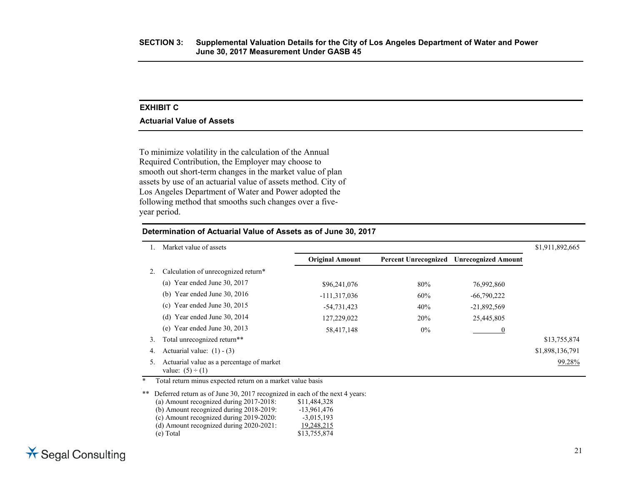#### **EXHIBIT C**

#### **Actuarial Value of Assets**

To minimize volatility in the calculation of the Annual Required Contribution, the Employer may choose to smooth out short-term changes in the market value of plan assets by use of an actuarial value of assets method. City of Los Angeles Department of Water and Power adopted the following method that smooths such changes over a fiveyear period.

|                                                                    |                        |       |                            | \$1,911,892,665             |
|--------------------------------------------------------------------|------------------------|-------|----------------------------|-----------------------------|
|                                                                    | <b>Original Amount</b> |       | <b>Unrecognized Amount</b> |                             |
| Calculation of unrecognized return*                                |                        |       |                            |                             |
| (a) Year ended June 30, 2017                                       | \$96,241,076           | 80%   | 76,992,860                 |                             |
| (b) Year ended June $30, 2016$                                     | $-111,317,036$         | 60%   | $-66,790,222$              |                             |
| Year ended June 30, 2015<br>(c)                                    | $-54,731,423$          | 40%   | $-21,892,569$              |                             |
| Year ended June 30, 2014<br>(d)                                    | 127,229,022            | 20%   | 25,445,805                 |                             |
| Year ended June 30, 2013<br>(e)                                    | 58,417,148             | $0\%$ |                            |                             |
| Total unrecognized return**                                        |                        |       |                            | \$13,755,874                |
| Actuarial value: $(1) - (3)$                                       |                        |       |                            | \$1,898,136,791             |
| Actuarial value as a percentage of market<br>value: $(5) \div (1)$ |                        |       |                            | 99.28%                      |
|                                                                    | Market value of assets |       |                            | <b>Percent Unrecognized</b> |

**Determination of Actuarial Value of Assets as of June 30, 2017**

Total return minus expected return on a market value basis

\*\* Deferred return as of June 30, 2017 recognized in each of the next 4 years: (a) Amount recognized during 2017-2018: \$11,484,328 (b) Amount recognized during 2018-2019: -13,961,476 (c) Amount recognized during 2019-2020:  $-3,015,193$ <br>(d) Amount recognized during 2020-2021:  $19,248,215$  $(d)$  Amount recognized during 2020-2021: (e) Total \$13,755,874

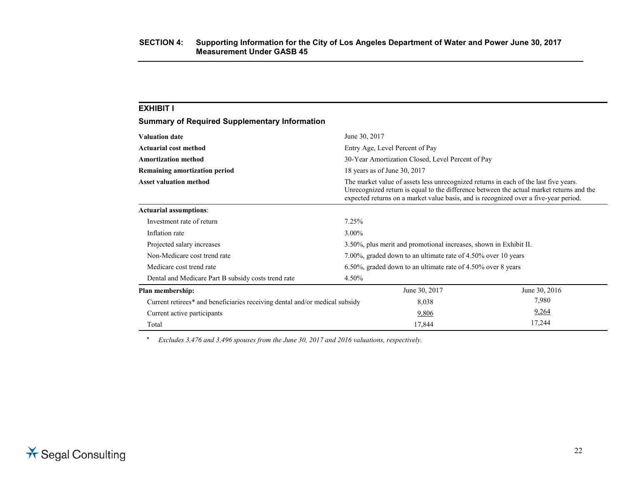| <b>Summary of Required Supplementary Information</b>                        |                                                                                                                                                                                                                                                                          |                                                              |               |  |  |
|-----------------------------------------------------------------------------|--------------------------------------------------------------------------------------------------------------------------------------------------------------------------------------------------------------------------------------------------------------------------|--------------------------------------------------------------|---------------|--|--|
| <b>Valuation date</b>                                                       | June 30, 2017                                                                                                                                                                                                                                                            |                                                              |               |  |  |
| <b>Actuarial cost method</b>                                                |                                                                                                                                                                                                                                                                          | Entry Age, Level Percent of Pay                              |               |  |  |
| <b>Amortization method</b>                                                  |                                                                                                                                                                                                                                                                          | 30-Year Amortization Closed, Level Percent of Pay            |               |  |  |
| <b>Remaining amortization period</b>                                        |                                                                                                                                                                                                                                                                          | 18 years as of June 30, 2017                                 |               |  |  |
| <b>Asset valuation method</b>                                               | The market value of assets less unrecognized returns in each of the last five years.<br>Unrecognized return is equal to the difference between the actual market returns and the<br>expected returns on a market value basis, and is recognized over a five-year period. |                                                              |               |  |  |
| <b>Actuarial assumptions:</b>                                               |                                                                                                                                                                                                                                                                          |                                                              |               |  |  |
| Investment rate of return                                                   | 7.25%                                                                                                                                                                                                                                                                    |                                                              |               |  |  |
| Inflation rate                                                              | 3.00%                                                                                                                                                                                                                                                                    |                                                              |               |  |  |
| Projected salary increases                                                  | 3.50%, plus merit and promotional increases, shown in Exhibit II.                                                                                                                                                                                                        |                                                              |               |  |  |
| Non-Medicare cost trend rate                                                | 7.00%, graded down to an ultimate rate of 4.50% over 10 years                                                                                                                                                                                                            |                                                              |               |  |  |
| Medicare cost trend rate                                                    |                                                                                                                                                                                                                                                                          | 6.50%, graded down to an ultimate rate of 4.50% over 8 years |               |  |  |
| Dental and Medicare Part B subsidy costs trend rate                         | 4.50%                                                                                                                                                                                                                                                                    |                                                              |               |  |  |
| Plan membership:                                                            |                                                                                                                                                                                                                                                                          | June 30, 2017                                                | June 30, 2016 |  |  |
| Current retirees* and beneficiaries receiving dental and/or medical subsidy |                                                                                                                                                                                                                                                                          | 8,038                                                        | 7,980         |  |  |
| Current active participants                                                 |                                                                                                                                                                                                                                                                          | 9,806                                                        | 9,264         |  |  |
| Total                                                                       |                                                                                                                                                                                                                                                                          | 17,844                                                       | 17,244        |  |  |

*\* Excludes 3,476 and 3,496 spouses from the June 30, 2017 and 2016 valuations, respectively.*

**EXHIBIT I**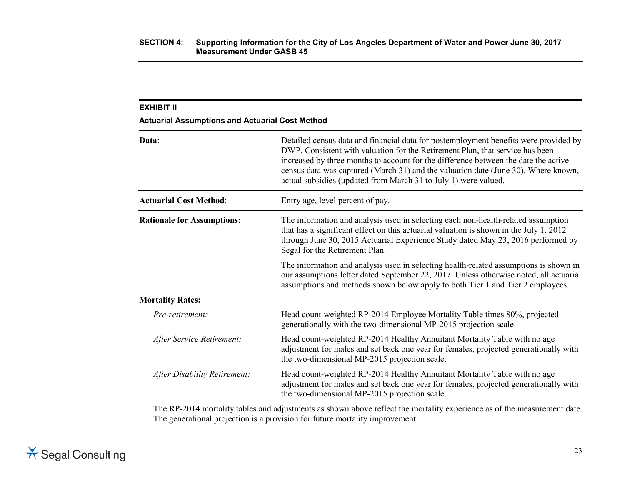| <b>EXHIBIT II</b><br><b>Actuarial Assumptions and Actuarial Cost Method</b> |                                                                                                                                                                                                                                                                                                                                                                                                                       |
|-----------------------------------------------------------------------------|-----------------------------------------------------------------------------------------------------------------------------------------------------------------------------------------------------------------------------------------------------------------------------------------------------------------------------------------------------------------------------------------------------------------------|
| Data:                                                                       | Detailed census data and financial data for postemployment benefits were provided by<br>DWP. Consistent with valuation for the Retirement Plan, that service has been<br>increased by three months to account for the difference between the date the active<br>census data was captured (March 31) and the valuation date (June 30). Where known,<br>actual subsidies (updated from March 31 to July 1) were valued. |
| <b>Actuarial Cost Method:</b>                                               | Entry age, level percent of pay.                                                                                                                                                                                                                                                                                                                                                                                      |
| <b>Rationale for Assumptions:</b>                                           | The information and analysis used in selecting each non-health-related assumption<br>that has a significant effect on this actuarial valuation is shown in the July 1, 2012<br>through June 30, 2015 Actuarial Experience Study dated May 23, 2016 performed by<br>Segal for the Retirement Plan.                                                                                                                     |
|                                                                             | The information and analysis used in selecting health-related assumptions is shown in<br>our assumptions letter dated September 22, 2017. Unless otherwise noted, all actuarial<br>assumptions and methods shown below apply to both Tier 1 and Tier 2 employees.                                                                                                                                                     |
| <b>Mortality Rates:</b>                                                     |                                                                                                                                                                                                                                                                                                                                                                                                                       |
| Pre-retirement:                                                             | Head count-weighted RP-2014 Employee Mortality Table times 80%, projected<br>generationally with the two-dimensional MP-2015 projection scale.                                                                                                                                                                                                                                                                        |
| After Service Retirement:                                                   | Head count-weighted RP-2014 Healthy Annuitant Mortality Table with no age<br>adjustment for males and set back one year for females, projected generationally with<br>the two-dimensional MP-2015 projection scale.                                                                                                                                                                                                   |
| After Disability Retirement:                                                | Head count-weighted RP-2014 Healthy Annuitant Mortality Table with no age<br>adjustment for males and set back one year for females, projected generationally with<br>the two-dimensional MP-2015 projection scale.                                                                                                                                                                                                   |
|                                                                             | $\sim$ $\sim$ $\sim$ $\sim$ $\sim$ $\sim$                                                                                                                                                                                                                                                                                                                                                                             |

The RP-2014 mortality tables and adjustments as shown above reflect the mortality experience as of the measurement date. The generational projection is a provision for future mortality improvement.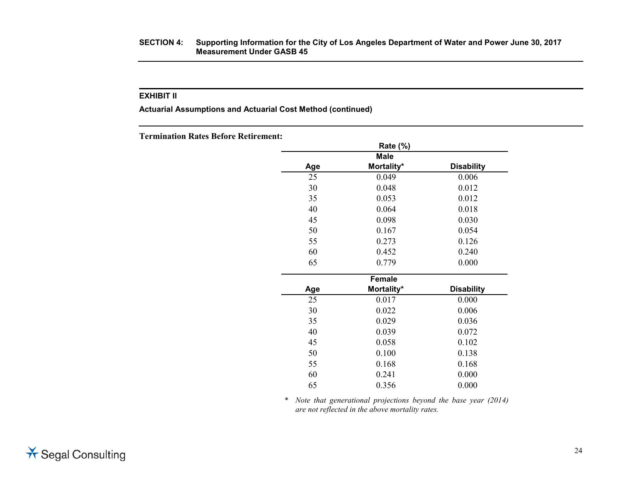#### **SECTION 4: Supporting Information for the City of Los Angeles Department of Water and Power June 30, 2017 Measurement Under GASB 45**

#### **EXHIBIT II**

**Actuarial Assumptions and Actuarial Cost Method (continued)**

**Termination Rates Before Retirement:**

|     | Rate (%)      |                   |
|-----|---------------|-------------------|
|     | <b>Male</b>   |                   |
| Age | Mortality*    | <b>Disability</b> |
| 25  | 0.049         | 0.006             |
| 30  | 0.048         | 0.012             |
| 35  | 0.053         | 0.012             |
| 40  | 0.064         | 0.018             |
| 45  | 0.098         | 0.030             |
| 50  | 0.167         | 0.054             |
| 55  | 0.273         | 0.126             |
| 60  | 0.452         | 0.240             |
| 65  | 0.779         | 0.000             |
|     | <b>Female</b> |                   |
| Age | Mortality*    | <b>Disability</b> |
| 25  | 0.017         | 0.000             |
| 30  | 0.022         | 0.006             |
| 35  | 0.029         | 0.036             |
| 40  | 0.039         | 0.072             |
| 45  | 0.058         | 0.102             |
| 50  | 0.100         | 0.138             |
| 55  | 0.168         | 0.168             |
| 60  | 0.241         | 0.000             |
| 65  | 0.356         | 0.000             |

\* *Note that generational projections beyond the base year (2014) are not reflected in the above mortality rates.*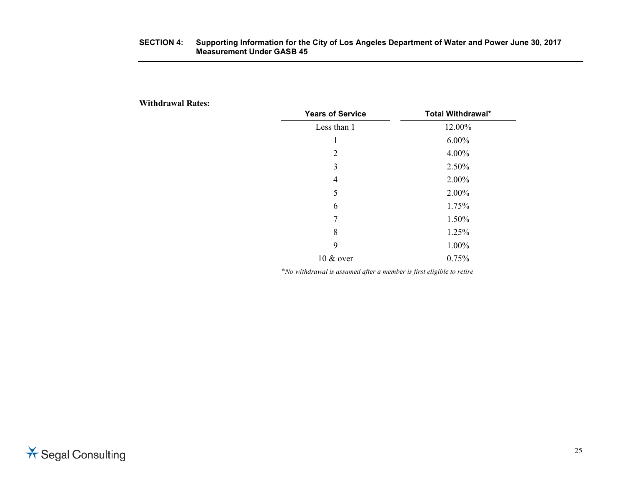#### **SECTION 4: Supporting Information for the City of Los Angeles Department of Water and Power June 30, 2017 Measurement Under GASB 45**

**Withdrawal Rates:**

| <b>Years of Service</b> | <b>Total Withdrawal*</b> |
|-------------------------|--------------------------|
| Less than 1             | 12.00%                   |
| 1                       | $6.00\%$                 |
| 2                       | 4.00%                    |
| 3                       | 2.50%                    |
| 4                       | 2.00%                    |
| 5                       | 2.00%                    |
| 6                       | 1.75%                    |
| 7                       | 1.50%                    |
| 8                       | 1.25%                    |
| 9                       | 1.00%                    |
| $10 \& over$            | 0.75%                    |

\**No withdrawal is assumed after a member is first eligible to retire*

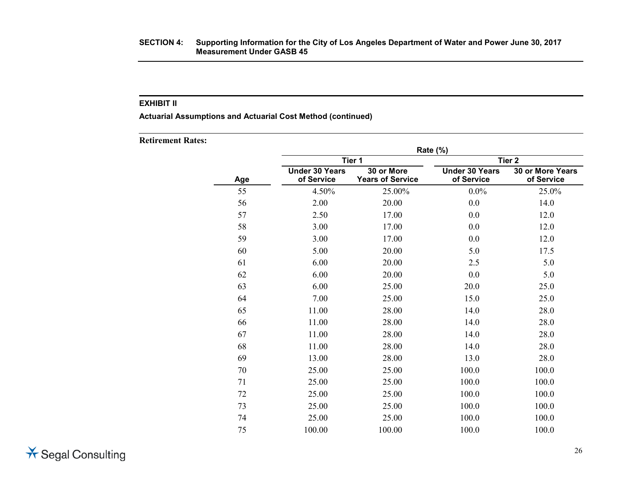**Actuarial Assumptions and Actuarial Cost Method (continued)**

**Retirement Rates:**

|     |                                     | Tier 1                                | Rate (%)                            | Tier <sub>2</sub>              |
|-----|-------------------------------------|---------------------------------------|-------------------------------------|--------------------------------|
| Age | <b>Under 30 Years</b><br>of Service | 30 or More<br><b>Years of Service</b> | <b>Under 30 Years</b><br>of Service | 30 or More Years<br>of Service |
| 55  | 4.50%                               | 25.00%                                | $0.0\%$                             | 25.0%                          |
| 56  | 2.00                                | 20.00                                 | 0.0                                 | 14.0                           |
| 57  | 2.50                                | 17.00                                 | 0.0                                 | 12.0                           |
| 58  | 3.00                                | 17.00                                 | 0.0                                 | 12.0                           |
| 59  | 3.00                                | 17.00                                 | 0.0                                 | 12.0                           |
| 60  | 5.00                                | 20.00                                 | 5.0                                 | 17.5                           |
| 61  | 6.00                                | 20.00                                 | 2.5                                 | 5.0                            |
| 62  | 6.00                                | 20.00                                 | 0.0                                 | 5.0                            |
| 63  | 6.00                                | 25.00                                 | 20.0                                | 25.0                           |
| 64  | 7.00                                | 25.00                                 | 15.0                                | 25.0                           |
| 65  | 11.00                               | 28.00                                 | 14.0                                | 28.0                           |
| 66  | 11.00                               | 28.00                                 | 14.0                                | 28.0                           |
| 67  | 11.00                               | 28.00                                 | 14.0                                | 28.0                           |
| 68  | 11.00                               | 28.00                                 | 14.0                                | 28.0                           |
| 69  | 13.00                               | 28.00                                 | 13.0                                | 28.0                           |
| 70  | 25.00                               | 25.00                                 | 100.0                               | 100.0                          |
| 71  | 25.00                               | 25.00                                 | 100.0                               | 100.0                          |
| 72  | 25.00                               | 25.00                                 | 100.0                               | 100.0                          |
| 73  | 25.00                               | 25.00                                 | 100.0                               | 100.0                          |
| 74  | 25.00                               | 25.00                                 | 100.0                               | 100.0                          |
| 75  | 100.00                              | 100.00                                | 100.0                               | 100.0                          |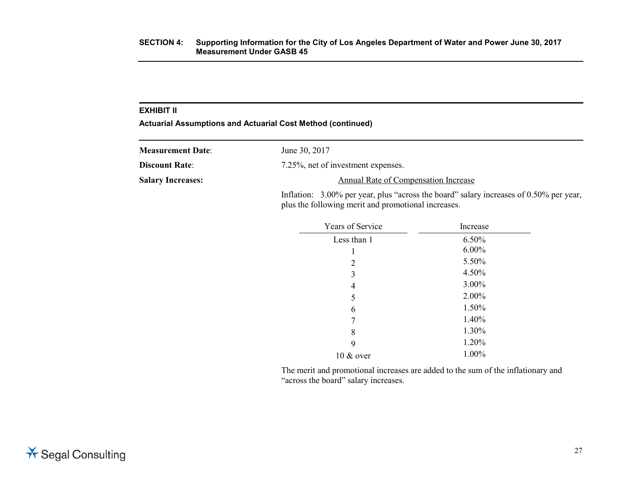**Actuarial Assumptions and Actuarial Cost Method (continued)**

| <b>Measurement Date:</b> | June 30, 2017                                                                                                                                    |
|--------------------------|--------------------------------------------------------------------------------------------------------------------------------------------------|
| <b>Discount Rate:</b>    | 7.25%, net of investment expenses.                                                                                                               |
| <b>Salary Increases:</b> | Annual Rate of Compensation Increase                                                                                                             |
|                          | Inflation: $3.00\%$ per year, plus "across the board" salary increases of 0.50% per year,<br>plus the following merit and promotional increases. |

| <b>Years of Service</b> | Increase |
|-------------------------|----------|
| Less than 1             | 6.50%    |
| 1                       | $6.00\%$ |
| 2                       | 5.50%    |
| 3                       | 4.50%    |
| 4                       | 3.00%    |
| 5                       | 2.00%    |
| 6                       | 1.50%    |
| 7                       | 1.40%    |
| 8                       | 1.30%    |
| 9                       | 1.20%    |
| $10 \& over$            | 1.00%    |

The merit and promotional increases are added to the sum of the inflationary and "across the board" salary increases.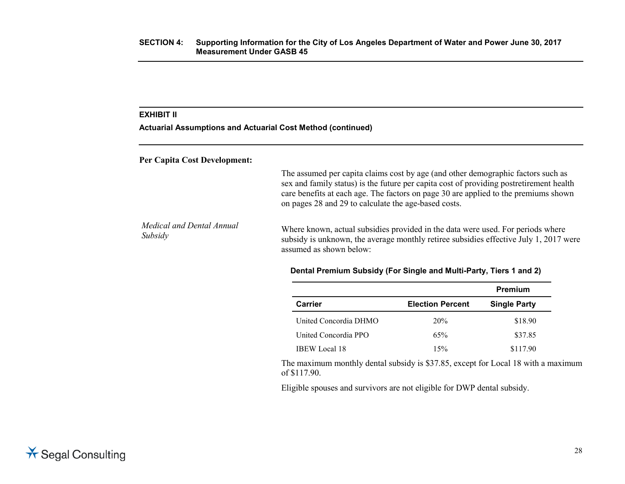**Actuarial Assumptions and Actuarial Cost Method (continued)**

#### **Per Capita Cost Development:**

The assumed per capita claims cost by age (and other demographic factors such as sex and family status) is the future per capita cost of providing postretirement health care benefits at each age. The factors on page 30 are applied to the premiums shown on pages 28 and 29 to calculate the age-based costs.

*Medical and Dental Annual Subsidy* Where known, actual subsidies provided in the data were used. For periods where subsidy is unknown, the average monthly retiree subsidies effective July 1, 2017 were assumed as shown below:

#### **Dental Premium Subsidy (For Single and Multi-Party, Tiers 1 and 2)**

|                       |                         | Premium             |
|-----------------------|-------------------------|---------------------|
| Carrier               | <b>Election Percent</b> | <b>Single Party</b> |
| United Concordia DHMO | 20%                     | \$18.90             |
| United Concordia PPO  | 65%                     | \$37.85             |
| <b>IBEW</b> Local 18  | 15%                     | \$117.90            |

The maximum monthly dental subsidy is \$37.85, except for Local 18 with a maximum of \$117.90.

Eligible spouses and survivors are not eligible for DWP dental subsidy.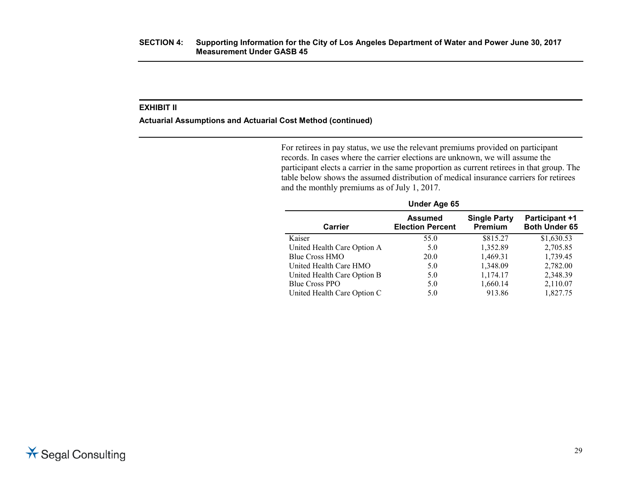#### **Actuarial Assumptions and Actuarial Cost Method (continued)**

For retirees in pay status, we use the relevant premiums provided on participant records. In cases where the carrier elections are unknown, we will assume the participant elects a carrier in the same proportion as current retirees in that group. The table below shows the assumed distribution of medical insurance carriers for retirees and the monthly premiums as of July 1, 2017.

| Under Age 65                |                                           |                                |                                        |  |
|-----------------------------|-------------------------------------------|--------------------------------|----------------------------------------|--|
| <b>Carrier</b>              | <b>Assumed</b><br><b>Election Percent</b> | <b>Single Party</b><br>Premium | <b>Participant +1</b><br>Both Under 65 |  |
| Kaiser                      | 55.0                                      | \$815.27                       | \$1,630.53                             |  |
| United Health Care Option A | 5.0                                       | 1,352.89                       | 2,705.85                               |  |
| Blue Cross HMO              | 20.0                                      | 1,469.31                       | 1,739.45                               |  |
| United Health Care HMO      | 5.0                                       | 1,348.09                       | 2,782.00                               |  |
| United Health Care Option B | 5.0                                       | 1,174.17                       | 2,348.39                               |  |
| Blue Cross PPO              | 5.0                                       | 1,660.14                       | 2,110.07                               |  |
| United Health Care Option C | 5.0                                       | 913.86                         | 1,827.75                               |  |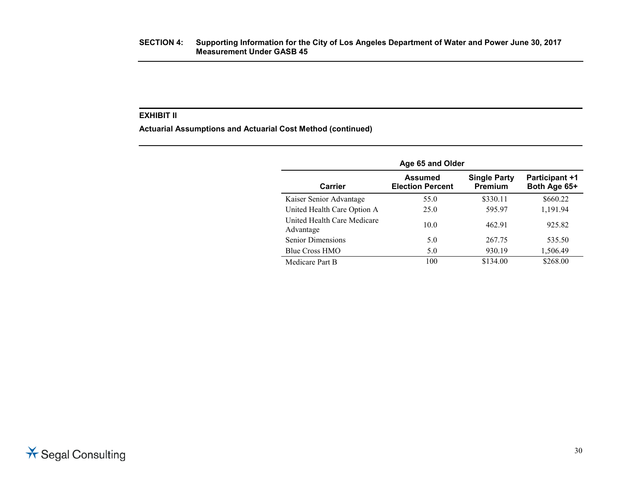**Actuarial Assumptions and Actuarial Cost Method (continued)**

| Age 65 and Older                         |                                           |                                       |                                       |
|------------------------------------------|-------------------------------------------|---------------------------------------|---------------------------------------|
| Carrier                                  | <b>Assumed</b><br><b>Election Percent</b> | <b>Single Party</b><br><b>Premium</b> | <b>Participant +1</b><br>Both Age 65+ |
| Kaiser Senior Advantage                  | 55.0                                      | \$330.11                              | \$660.22                              |
| United Health Care Option A              | 25.0                                      | 595.97                                | 1,191.94                              |
| United Health Care Medicare<br>Advantage | 10.0                                      | 462.91                                | 925.82                                |
| <b>Senior Dimensions</b>                 | 5.0                                       | 267.75                                | 535.50                                |
| <b>Blue Cross HMO</b>                    | 5.0                                       | 930.19                                | 1,506.49                              |
| Medicare Part B                          | 100                                       | \$134.00                              | \$268.00                              |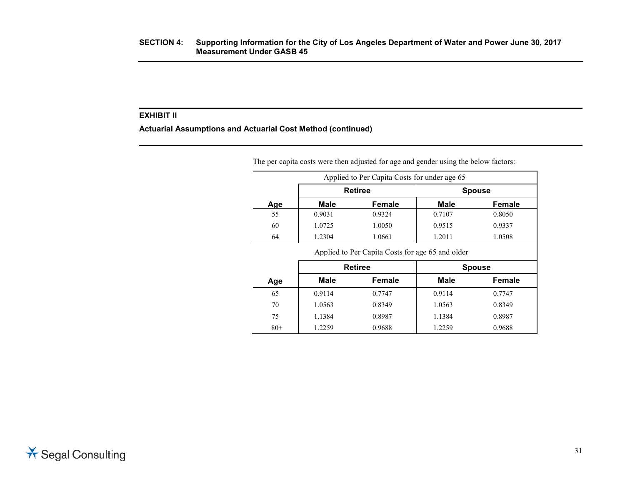**Actuarial Assumptions and Actuarial Cost Method (continued)**

|     |                | The per capita costs were then adjusted for age and gender using the below factors:<br>Applied to Per Capita Costs for under age 65 |             |               |
|-----|----------------|-------------------------------------------------------------------------------------------------------------------------------------|-------------|---------------|
|     | <b>Retiree</b> |                                                                                                                                     |             | <b>Spouse</b> |
| Age | Male           | <b>Female</b>                                                                                                                       | <b>Male</b> | <b>Female</b> |
| 55  | 0.9031         | 0.9324                                                                                                                              | 0.7107      | 0.8050        |
| 60  | 1.0725         | 1.0050                                                                                                                              | 0.9515      | 0.9337        |
| 64  | 1.2304         | 1.0661                                                                                                                              | 1.2011      | 1.0508        |

|       | <b>Retiree</b> |        |        | <b>Spouse</b> |
|-------|----------------|--------|--------|---------------|
| Age   | <b>Male</b>    | Female | Male   | <b>Female</b> |
| 65    | 0.9114         | 0.7747 | 0.9114 | 0.7747        |
| 70    | 1.0563         | 0.8349 | 1.0563 | 0.8349        |
| 75    | 1.1384         | 0.8987 | 1.1384 | 0.8987        |
| $80+$ | 1.2259         | 0.9688 | 1.2259 | 0.9688        |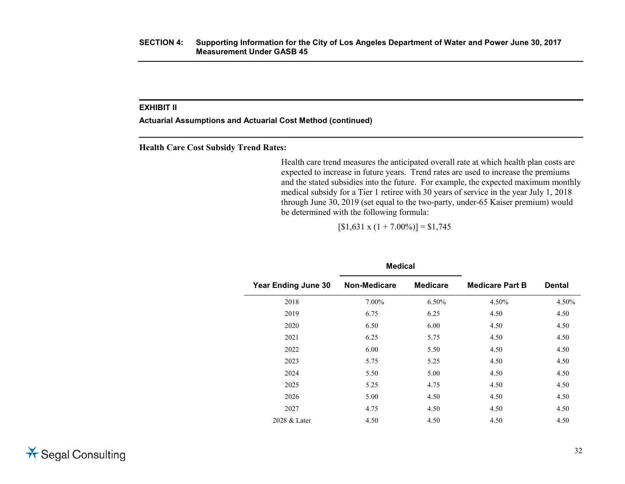**Actuarial Assumptions and Actuarial Cost Method (continued)**

**Health Care Cost Subsidy Trend Rates:**

Health care trend measures the anticipated overall rate at which health plan costs are expected to increase in future years. Trend rates are used to increase the premiums and the stated subsidies into the future. For example, the expected maximum monthly medical subsidy for a Tier 1 retiree with 30 years of service in the year July 1, 2018 through June 30, 2019 (set equal to the two-party, under-65 Kaiser premium) would be determined with the following formula:

 $[$1,631 \times (1 + 7.00\%)] = $1,745$ 

|                            | <b>Medical</b> |                 |                        |               |  |
|----------------------------|----------------|-----------------|------------------------|---------------|--|
| <b>Year Ending June 30</b> | Non-Medicare   | <b>Medicare</b> | <b>Medicare Part B</b> | <b>Dental</b> |  |
| 2018                       | 7.00%          | 6.50%           | 4.50%                  | 4.50%         |  |
| 2019                       | 6.75           | 6.25            | 4.50                   | 4.50          |  |
| 2020                       | 6.50           | 6.00            | 4.50                   | 4.50          |  |
| 2021                       | 6.25           | 5.75            | 4.50                   | 4.50          |  |
| 2022                       | 6.00           | 5.50            | 4.50                   | 4.50          |  |
| 2023                       | 5.75           | 5.25            | 4.50                   | 4.50          |  |
| 2024                       | 5.50           | 5.00            | 4.50                   | 4.50          |  |
| 2025                       | 5.25           | 4.75            | 4.50                   | 4.50          |  |
| 2026                       | 5.00           | 4.50            | 4.50                   | 4.50          |  |
| 2027                       | 4.75           | 4.50            | 4.50                   | 4.50          |  |
| 2028 & Later               | 4.50           | 4.50            | 4.50                   | 4.50          |  |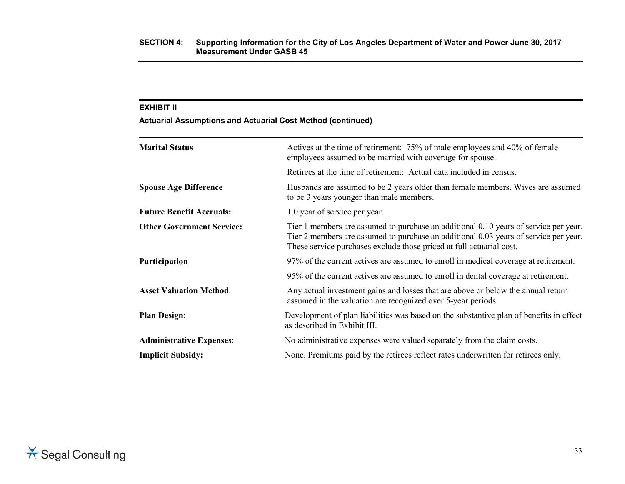**Actuarial Assumptions and Actuarial Cost Method (continued)**

| <b>Marital Status</b>            | Actives at the time of retirement: 75% of male employees and 40% of female<br>employees assumed to be married with coverage for spouse.                                                                                                              |
|----------------------------------|------------------------------------------------------------------------------------------------------------------------------------------------------------------------------------------------------------------------------------------------------|
|                                  | Retirees at the time of retirement: Actual data included in census.                                                                                                                                                                                  |
| <b>Spouse Age Difference</b>     | Husbands are assumed to be 2 years older than female members. Wives are assumed<br>to be 3 years younger than male members.                                                                                                                          |
| <b>Future Benefit Accruals:</b>  | 1.0 year of service per year.                                                                                                                                                                                                                        |
| <b>Other Government Service:</b> | Tier 1 members are assumed to purchase an additional 0.10 years of service per year.<br>Tier 2 members are assumed to purchase an additional 0.03 years of service per year.<br>These service purchases exclude those priced at full actuarial cost. |
| Participation                    | 97% of the current actives are assumed to enroll in medical coverage at retirement.                                                                                                                                                                  |
|                                  | 95% of the current actives are assumed to enroll in dental coverage at retirement.                                                                                                                                                                   |
| <b>Asset Valuation Method</b>    | Any actual investment gains and losses that are above or below the annual return<br>assumed in the valuation are recognized over 5-year periods.                                                                                                     |
| <b>Plan Design:</b>              | Development of plan liabilities was based on the substantive plan of benefits in effect<br>as described in Exhibit III.                                                                                                                              |
| <b>Administrative Expenses:</b>  | No administrative expenses were valued separately from the claim costs.                                                                                                                                                                              |
| <b>Implicit Subsidy:</b>         | None. Premiums paid by the retirees reflect rates underwritten for retirees only.                                                                                                                                                                    |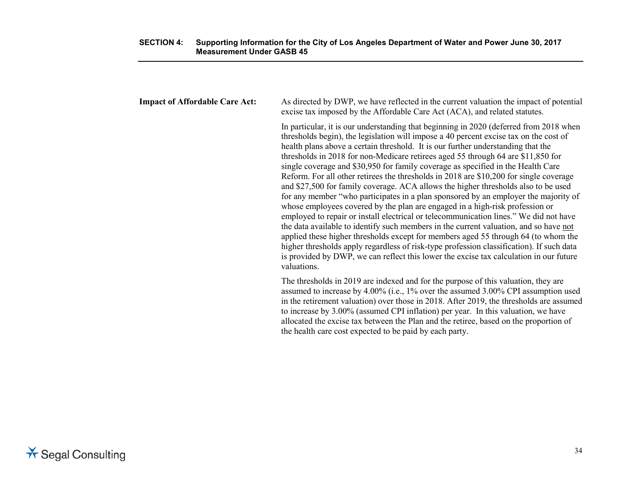| <b>Impact of Affordable Care Act:</b> | As directed by DWP, we have reflected in the current valuation the impact of potential<br>excise tax imposed by the Affordable Care Act (ACA), and related statutes.                                                                                                                                                                                                                                                                                                                                                                                                                                                                                                                                                                                                                                                                                                                                                                                                                                                                                                                                                                                                                                                                                                            |
|---------------------------------------|---------------------------------------------------------------------------------------------------------------------------------------------------------------------------------------------------------------------------------------------------------------------------------------------------------------------------------------------------------------------------------------------------------------------------------------------------------------------------------------------------------------------------------------------------------------------------------------------------------------------------------------------------------------------------------------------------------------------------------------------------------------------------------------------------------------------------------------------------------------------------------------------------------------------------------------------------------------------------------------------------------------------------------------------------------------------------------------------------------------------------------------------------------------------------------------------------------------------------------------------------------------------------------|
|                                       | In particular, it is our understanding that beginning in 2020 (deferred from 2018 when<br>thresholds begin), the legislation will impose a 40 percent excise tax on the cost of<br>health plans above a certain threshold. It is our further understanding that the<br>thresholds in 2018 for non-Medicare retirees aged 55 through 64 are \$11,850 for<br>single coverage and \$30,950 for family coverage as specified in the Health Care<br>Reform. For all other retirees the thresholds in 2018 are \$10,200 for single coverage<br>and \$27,500 for family coverage. ACA allows the higher thresholds also to be used<br>for any member "who participates in a plan sponsored by an employer the majority of<br>whose employees covered by the plan are engaged in a high-risk profession or<br>employed to repair or install electrical or telecommunication lines." We did not have<br>the data available to identify such members in the current valuation, and so have not<br>applied these higher thresholds except for members aged 55 through 64 (to whom the<br>higher thresholds apply regardless of risk-type profession classification). If such data<br>is provided by DWP, we can reflect this lower the excise tax calculation in our future<br>valuations. |
|                                       | The thresholds in 2019 are indexed and for the purpose of this valuation, they are<br>assumed to increase by 4.00% (i.e., 1% over the assumed 3.00% CPI assumption used<br>in the retirement valuation) over those in 2018. After 2019, the thresholds are assumed<br>to increase by 3.00% (assumed CPI inflation) per year. In this valuation, we have                                                                                                                                                                                                                                                                                                                                                                                                                                                                                                                                                                                                                                                                                                                                                                                                                                                                                                                         |

the health care cost expected to be paid by each party.

allocated the excise tax between the Plan and the retiree, based on the proportion of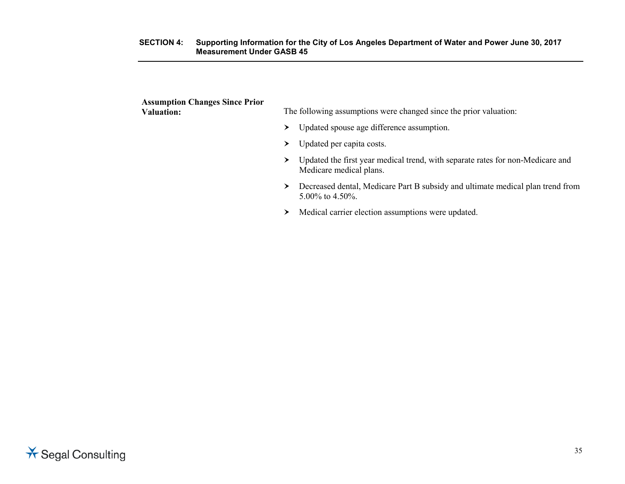#### **SECTION 4: Supporting Information for the City of Los Angeles Department of Water and Power June 30, 2017 Measurement Under GASB 45**

| <b>Assumption Changes Since Prior</b><br><b>Valuation:</b> |   | The following assumptions were changed since the prior valuation:                                         |
|------------------------------------------------------------|---|-----------------------------------------------------------------------------------------------------------|
|                                                            | ≻ | Updated spouse age difference assumption.                                                                 |
|                                                            | ≻ | Updated per capita costs.                                                                                 |
|                                                            | ≻ | Updated the first year medical trend, with separate rates for non-Medicare and<br>Medicare medical plans. |
|                                                            | ≻ | Decreased dental, Medicare Part B subsidy and ultimate medical plan trend from<br>$5.00\%$ to 4.50%.      |
|                                                            | ➤ | Medical carrier election assumptions were updated.                                                        |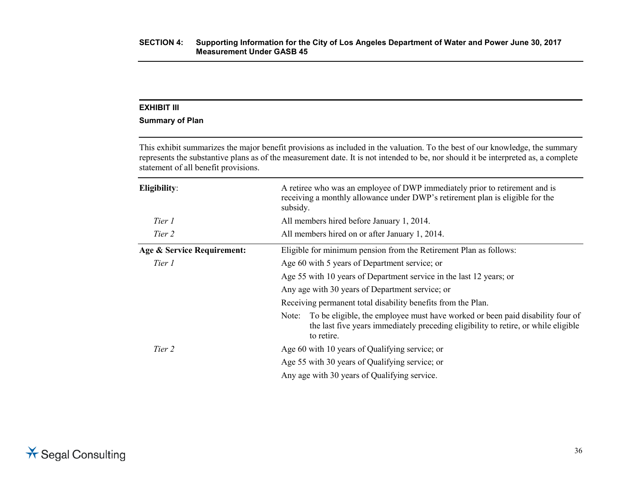#### **Summary of Plan**

This exhibit summarizes the major benefit provisions as included in the valuation. To the best of our knowledge, the summary represents the substantive plans as of the measurement date. It is not intended to be, nor should it be interpreted as, a complete statement of all benefit provisions.

| Eligibility:               | A retiree who was an employee of DWP immediately prior to retirement and is<br>receiving a monthly allowance under DWP's retirement plan is eligible for the<br>subsidy.                   |  |  |
|----------------------------|--------------------------------------------------------------------------------------------------------------------------------------------------------------------------------------------|--|--|
| Tier 1                     | All members hired before January 1, 2014.                                                                                                                                                  |  |  |
| Tier 2                     | All members hired on or after January 1, 2014.                                                                                                                                             |  |  |
| Age & Service Requirement: | Eligible for minimum pension from the Retirement Plan as follows:                                                                                                                          |  |  |
| Tier 1                     | Age 60 with 5 years of Department service; or                                                                                                                                              |  |  |
|                            | Age 55 with 10 years of Department service in the last 12 years; or                                                                                                                        |  |  |
|                            | Any age with 30 years of Department service; or                                                                                                                                            |  |  |
|                            | Receiving permanent total disability benefits from the Plan.                                                                                                                               |  |  |
|                            | To be eligible, the employee must have worked or been paid disability four of<br>Note:<br>the last five years immediately preceding eligibility to retire, or while eligible<br>to retire. |  |  |
| Tier 2                     | Age 60 with 10 years of Qualifying service; or                                                                                                                                             |  |  |
|                            | Age 55 with 30 years of Qualifying service; or                                                                                                                                             |  |  |
|                            | Any age with 30 years of Qualifying service.                                                                                                                                               |  |  |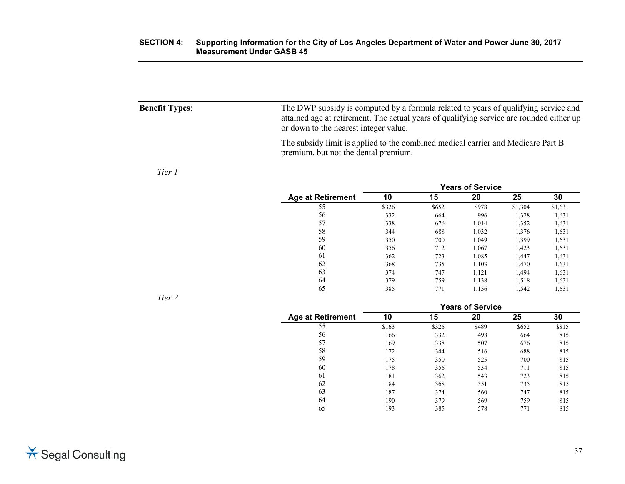| <b>Benefit Types:</b> | The DWP subsidy is computed by a formula related to years of qualifying service and<br>attained age at retirement. The actual years of qualifying service are rounded either up<br>or down to the nearest integer value. |
|-----------------------|--------------------------------------------------------------------------------------------------------------------------------------------------------------------------------------------------------------------------|
|                       | The subsidy limit is applied to the combined medical carrier and Medicare Part B<br>premium, but not the dental premium.                                                                                                 |

#### *Tier 1*

|                          | <b>Years of Service</b> |       |       |         |         |
|--------------------------|-------------------------|-------|-------|---------|---------|
| <b>Age at Retirement</b> | 10                      | 15    | 20    | 25      | 30      |
| 55                       | \$326                   | \$652 | \$978 | \$1,304 | \$1,631 |
| 56                       | 332                     | 664   | 996   | 1,328   | 1,631   |
| 57                       | 338                     | 676   | 1,014 | 1,352   | 1,631   |
| 58                       | 344                     | 688   | 1,032 | 1,376   | 1,631   |
| 59                       | 350                     | 700   | 1.049 | 1,399   | 1,631   |
| 60                       | 356                     | 712   | 1,067 | 1,423   | 1,631   |
| 61                       | 362                     | 723   | 1,085 | 1.447   | 1,631   |
| 62                       | 368                     | 735   | 1,103 | 1,470   | 1,631   |
| 63                       | 374                     | 747   | 1,121 | 1,494   | 1,631   |
| 64                       | 379                     | 759   | 1,138 | 1,518   | 1,631   |
| 65                       | 385                     | 771   | 1,156 | 1,542   | 1,631   |

*Tier 2*

|                          | <b>Years of Service</b> |       |       |       |       |
|--------------------------|-------------------------|-------|-------|-------|-------|
| <b>Age at Retirement</b> | 10                      | 15    | 20    | 25    | 30    |
| 55                       | \$163                   | \$326 | \$489 | \$652 | \$815 |
| 56                       | 166                     | 332   | 498   | 664   | 815   |
| 57                       | 169                     | 338   | 507   | 676   | 815   |
| 58                       | 172                     | 344   | 516   | 688   | 815   |
| 59                       | 175                     | 350   | 525   | 700   | 815   |
| 60                       | 178                     | 356   | 534   | 711   | 815   |
| 61                       | 181                     | 362   | 543   | 723   | 815   |
| 62                       | 184                     | 368   | 551   | 735   | 815   |
| 63                       | 187                     | 374   | 560   | 747   | 815   |
| 64                       | 190                     | 379   | 569   | 759   | 815   |
| 65                       | 193                     | 385   | 578   | 771   | 815   |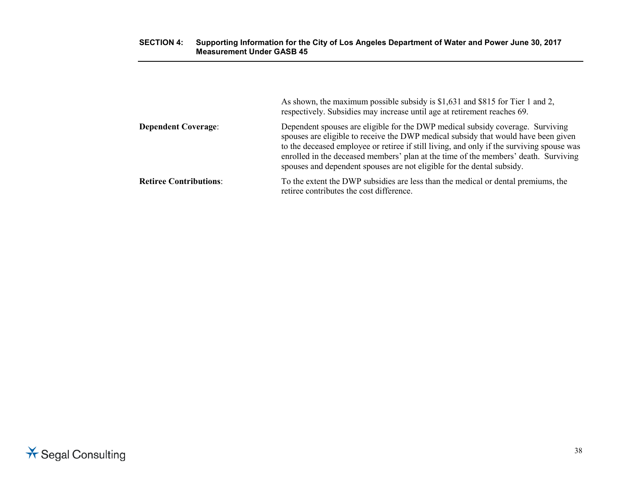#### **SECTION 4: Supporting Information for the City of Los Angeles Department of Water and Power June 30, 2017 Measurement Under GASB 45**

|                               | As shown, the maximum possible subsidy is \$1,631 and \$815 for Tier 1 and 2,<br>respectively. Subsidies may increase until age at retirement reaches 69.                                                                                                                                                                                                                                                                          |
|-------------------------------|------------------------------------------------------------------------------------------------------------------------------------------------------------------------------------------------------------------------------------------------------------------------------------------------------------------------------------------------------------------------------------------------------------------------------------|
| <b>Dependent Coverage:</b>    | Dependent spouses are eligible for the DWP medical subsidy coverage. Surviving<br>spouses are eligible to receive the DWP medical subsidy that would have been given<br>to the deceased employee or retiree if still living, and only if the surviving spouse was<br>enrolled in the deceased members' plan at the time of the members' death. Surviving<br>spouses and dependent spouses are not eligible for the dental subsidy. |
| <b>Retiree Contributions:</b> | To the extent the DWP subsidies are less than the medical or dental premiums, the<br>retiree contributes the cost difference.                                                                                                                                                                                                                                                                                                      |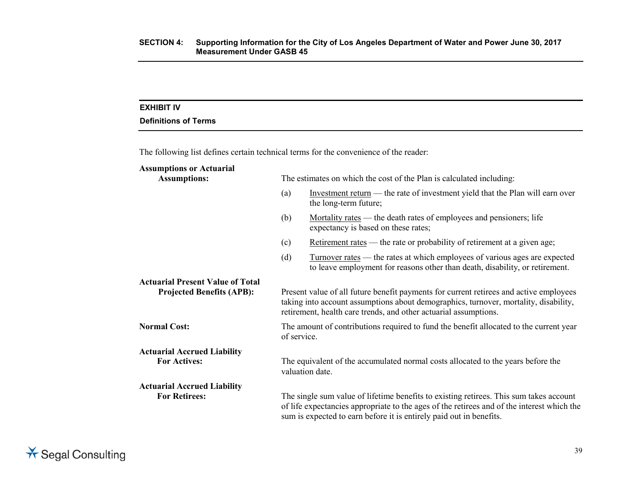### **EXHIBIT IV**

# **Definitions of Terms**

The following list defines certain technical terms for the convenience of the reader:

| <b>Assumptions or Actuarial</b><br><b>Assumptions:</b>                      |                                                                                                                                                                                                                                                    | The estimates on which the cost of the Plan is calculated including:                                                                                                                                                                                        |  |
|-----------------------------------------------------------------------------|----------------------------------------------------------------------------------------------------------------------------------------------------------------------------------------------------------------------------------------------------|-------------------------------------------------------------------------------------------------------------------------------------------------------------------------------------------------------------------------------------------------------------|--|
|                                                                             | (a)                                                                                                                                                                                                                                                | Investment return — the rate of investment yield that the Plan will earn over<br>the long-term future;                                                                                                                                                      |  |
|                                                                             | (b)                                                                                                                                                                                                                                                | Mortality rates — the death rates of employees and pensioners; life<br>expectancy is based on these rates;                                                                                                                                                  |  |
|                                                                             | (c)                                                                                                                                                                                                                                                | Retirement rates — the rate or probability of retirement at a given age;                                                                                                                                                                                    |  |
|                                                                             | (d)                                                                                                                                                                                                                                                | <u>Turnover rates</u> — the rates at which employees of various ages are expected<br>to leave employment for reasons other than death, disability, or retirement.                                                                                           |  |
| <b>Actuarial Present Value of Total</b><br><b>Projected Benefits (APB):</b> | Present value of all future benefit payments for current retirees and active employees<br>taking into account assumptions about demographics, turnover, mortality, disability,<br>retirement, health care trends, and other actuarial assumptions. |                                                                                                                                                                                                                                                             |  |
| <b>Normal Cost:</b>                                                         | The amount of contributions required to fund the benefit allocated to the current year<br>of service.                                                                                                                                              |                                                                                                                                                                                                                                                             |  |
| <b>Actuarial Accrued Liability</b><br><b>For Actives:</b>                   | The equivalent of the accumulated normal costs allocated to the years before the<br>valuation date.                                                                                                                                                |                                                                                                                                                                                                                                                             |  |
| <b>Actuarial Accrued Liability</b><br><b>For Retirees:</b>                  |                                                                                                                                                                                                                                                    | The single sum value of lifetime benefits to existing retirees. This sum takes account<br>of life expectancies appropriate to the ages of the retirees and of the interest which the<br>sum is expected to earn before it is entirely paid out in benefits. |  |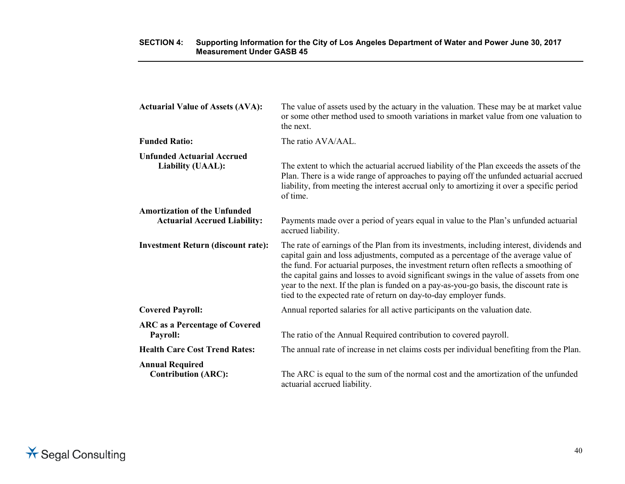| <b>Actuarial Value of Assets (AVA):</b>                                    | The value of assets used by the actuary in the valuation. These may be at market value<br>or some other method used to smooth variations in market value from one valuation to<br>the next.                                                                                                                                                                                                                                                                                                                                         |
|----------------------------------------------------------------------------|-------------------------------------------------------------------------------------------------------------------------------------------------------------------------------------------------------------------------------------------------------------------------------------------------------------------------------------------------------------------------------------------------------------------------------------------------------------------------------------------------------------------------------------|
| <b>Funded Ratio:</b>                                                       | The ratio AVA/AAL.                                                                                                                                                                                                                                                                                                                                                                                                                                                                                                                  |
| <b>Unfunded Actuarial Accrued</b><br>Liability (UAAL):                     | The extent to which the actuarial accrued liability of the Plan exceeds the assets of the<br>Plan. There is a wide range of approaches to paying off the unfunded actuarial accrued<br>liability, from meeting the interest accrual only to amortizing it over a specific period<br>of time.                                                                                                                                                                                                                                        |
| <b>Amortization of the Unfunded</b><br><b>Actuarial Accrued Liability:</b> | Payments made over a period of years equal in value to the Plan's unfunded actuarial<br>accrued liability.                                                                                                                                                                                                                                                                                                                                                                                                                          |
| <b>Investment Return (discount rate):</b>                                  | The rate of earnings of the Plan from its investments, including interest, dividends and<br>capital gain and loss adjustments, computed as a percentage of the average value of<br>the fund. For actuarial purposes, the investment return often reflects a smoothing of<br>the capital gains and losses to avoid significant swings in the value of assets from one<br>year to the next. If the plan is funded on a pay-as-you-go basis, the discount rate is<br>tied to the expected rate of return on day-to-day employer funds. |
| <b>Covered Payroll:</b>                                                    | Annual reported salaries for all active participants on the valuation date.                                                                                                                                                                                                                                                                                                                                                                                                                                                         |
| <b>ARC</b> as a Percentage of Covered<br>Payroll:                          | The ratio of the Annual Required contribution to covered payroll.                                                                                                                                                                                                                                                                                                                                                                                                                                                                   |
| <b>Health Care Cost Trend Rates:</b>                                       | The annual rate of increase in net claims costs per individual benefiting from the Plan.                                                                                                                                                                                                                                                                                                                                                                                                                                            |
| <b>Annual Required</b><br><b>Contribution (ARC):</b>                       | The ARC is equal to the sum of the normal cost and the amortization of the unfunded<br>actuarial accrued liability.                                                                                                                                                                                                                                                                                                                                                                                                                 |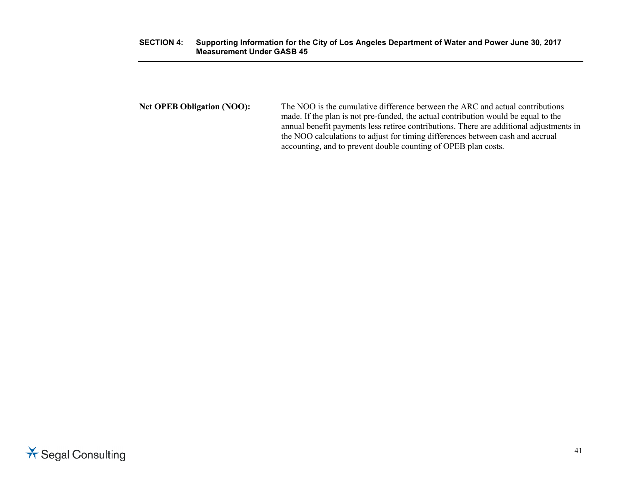#### **SECTION 4: Supporting Information for the City of Los Angeles Department of Water and Power June 30, 2017 Measurement Under GASB 45**

**Net OPEB Obligation (NOO):** The NOO is the cumulative difference between the ARC and actual contributions made. If the plan is not pre-funded, the actual contribution would be equal to the annual benefit payments less retiree contributions. There are additional adjustments in the NOO calculations to adjust for timing differences between cash and accrual accounting, and to prevent double counting of OPEB plan costs.

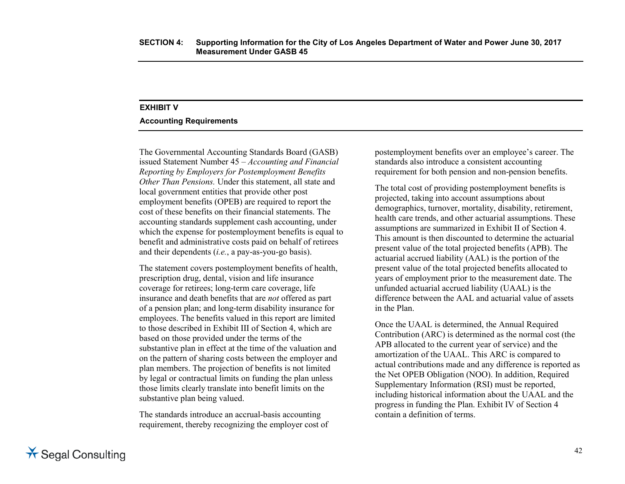#### **EXHIBIT V**

#### **Accounting Requirements**

The Governmental Accounting Standards Board (GASB) issued Statement Number 45 *– Accounting and Financial Reporting by Employers for Postemployment Benefits Other Than Pensions.* Under this statement, all state and local government entities that provide other post employment benefits (OPEB) are required to report the cost of these benefits on their financial statements. The accounting standards supplement cash accounting, under which the expense for postemployment benefits is equal to benefit and administrative costs paid on behalf of retirees and their dependents (*i.e.*, a pay-as-you-go basis).

The statement covers postemployment benefits of health, prescription drug, dental, vision and life insurance coverage for retirees; long-term care coverage, life insurance and death benefits that are *not* offered as part of a pension plan; and long-term disability insurance for employees. The benefits valued in this report are limited to those described in Exhibit III of Section 4, which are based on those provided under the terms of the substantive plan in effect at the time of the valuation and on the pattern of sharing costs between the employer and plan members. The projection of benefits is not limited by legal or contractual limits on funding the plan unless those limits clearly translate into benefit limits on the substantive plan being valued.

The standards introduce an accrual-basis accounting requirement, thereby recognizing the employer cost of postemployment benefits over an employee's career. The standards also introduce a consistent accounting requirement for both pension and non-pension benefits.

The total cost of providing postemployment benefits is projected, taking into account assumptions about demographics, turnover, mortality, disability, retirement, health care trends, and other actuarial assumptions. These assumptions are summarized in Exhibit II of Section 4. This amount is then discounted to determine the actuarial present value of the total projected benefits (APB). The actuarial accrued liability (AAL) is the portion of the present value of the total projected benefits allocated to years of employment prior to the measurement date. The unfunded actuarial accrued liability (UAAL) is the difference between the AAL and actuarial value of assets in the Plan.

Once the UAAL is determined, the Annual Required Contribution (ARC) is determined as the normal cost (the APB allocated to the current year of service) and the amortization of the UAAL. This ARC is compared to actual contributions made and any difference is reported as the Net OPEB Obligation (NOO). In addition, Required Supplementary Information (RSI) must be reported, including historical information about the UAAL and the progress in funding the Plan. Exhibit IV of Section 4 contain a definition of terms.